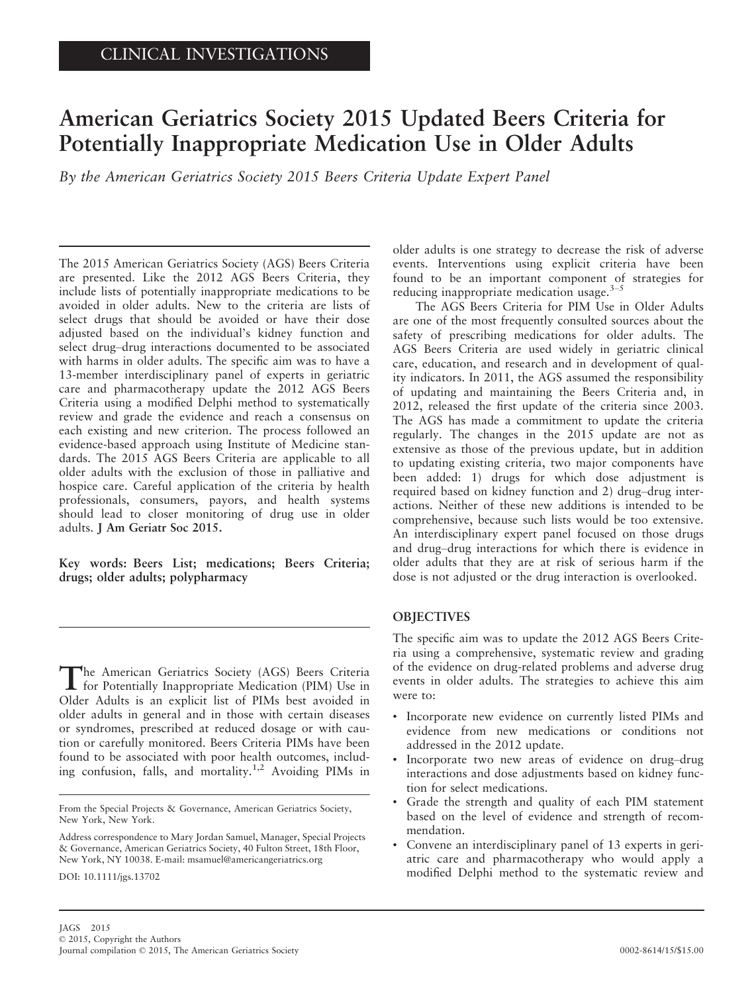# American Geriatrics Society 2015 Updated Beers Criteria for Potentially Inappropriate Medication Use in Older Adults

By the American Geriatrics Society 2015 Beers Criteria Update Expert Panel

The 2015 American Geriatrics Society (AGS) Beers Criteria are presented. Like the 2012 AGS Beers Criteria, they include lists of potentially inappropriate medications to be avoided in older adults. New to the criteria are lists of select drugs that should be avoided or have their dose adjusted based on the individual's kidney function and select drug–drug interactions documented to be associated with harms in older adults. The specific aim was to have a 13-member interdisciplinary panel of experts in geriatric care and pharmacotherapy update the 2012 AGS Beers Criteria using a modified Delphi method to systematically review and grade the evidence and reach a consensus on each existing and new criterion. The process followed an evidence-based approach using Institute of Medicine standards. The 2015 AGS Beers Criteria are applicable to all older adults with the exclusion of those in palliative and hospice care. Careful application of the criteria by health professionals, consumers, payors, and health systems should lead to closer monitoring of drug use in older adults. J Am Geriatr Soc 2015.

Key words: Beers List; medications; Beers Criteria; drugs; older adults; polypharmacy

The American Geriatrics Society (AGS) Beers Criteria<br>for Potentially Inappropriate Medication (PIM) Use in Older Adults is an explicit list of PIMs best avoided in older adults in general and in those with certain diseases or syndromes, prescribed at reduced dosage or with caution or carefully monitored. Beers Criteria PIMs have been found to be associated with poor health outcomes, including confusion, falls, and mortality.1,2 Avoiding PIMs in

From the Special Projects & Governance, American Geriatrics Society, New York, New York.

DOI: 10.1111/jgs.13702

older adults is one strategy to decrease the risk of adverse events. Interventions using explicit criteria have been found to be an important component of strategies for reducing inappropriate medication usage. $3-5$ 

The AGS Beers Criteria for PIM Use in Older Adults are one of the most frequently consulted sources about the safety of prescribing medications for older adults. The AGS Beers Criteria are used widely in geriatric clinical care, education, and research and in development of quality indicators. In 2011, the AGS assumed the responsibility of updating and maintaining the Beers Criteria and, in 2012, released the first update of the criteria since 2003. The AGS has made a commitment to update the criteria regularly. The changes in the 2015 update are not as extensive as those of the previous update, but in addition to updating existing criteria, two major components have been added: 1) drugs for which dose adjustment is required based on kidney function and 2) drug–drug interactions. Neither of these new additions is intended to be comprehensive, because such lists would be too extensive. An interdisciplinary expert panel focused on those drugs and drug–drug interactions for which there is evidence in older adults that they are at risk of serious harm if the dose is not adjusted or the drug interaction is overlooked.

# **OBJECTIVES**

The specific aim was to update the 2012 AGS Beers Criteria using a comprehensive, systematic review and grading of the evidence on drug-related problems and adverse drug events in older adults. The strategies to achieve this aim were to:

- Incorporate new evidence on currently listed PIMs and evidence from new medications or conditions not addressed in the 2012 update.
- Incorporate two new areas of evidence on drug–drug interactions and dose adjustments based on kidney function for select medications.
- Grade the strength and quality of each PIM statement based on the level of evidence and strength of recommendation.
- Convene an interdisciplinary panel of 13 experts in geriatric care and pharmacotherapy who would apply a modified Delphi method to the systematic review and

Address correspondence to Mary Jordan Samuel, Manager, Special Projects & Governance, American Geriatrics Society, 40 Fulton Street, 18th Floor, New York, NY 10038. E-mail: msamuel@americangeriatrics.org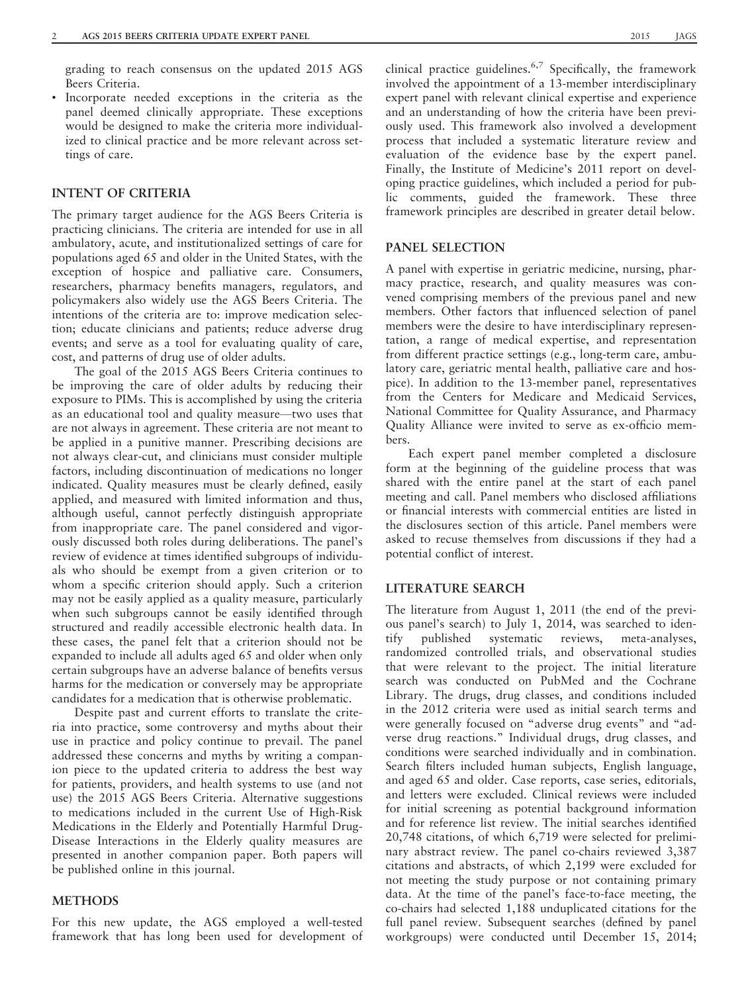grading to reach consensus on the updated 2015 AGS Beers Criteria.

• Incorporate needed exceptions in the criteria as the panel deemed clinically appropriate. These exceptions would be designed to make the criteria more individualized to clinical practice and be more relevant across settings of care.

# INTENT OF CRITERIA

The primary target audience for the AGS Beers Criteria is practicing clinicians. The criteria are intended for use in all ambulatory, acute, and institutionalized settings of care for populations aged 65 and older in the United States, with the exception of hospice and palliative care. Consumers, researchers, pharmacy benefits managers, regulators, and policymakers also widely use the AGS Beers Criteria. The intentions of the criteria are to: improve medication selection; educate clinicians and patients; reduce adverse drug events; and serve as a tool for evaluating quality of care, cost, and patterns of drug use of older adults.

The goal of the 2015 AGS Beers Criteria continues to be improving the care of older adults by reducing their exposure to PIMs. This is accomplished by using the criteria as an educational tool and quality measure—two uses that are not always in agreement. These criteria are not meant to be applied in a punitive manner. Prescribing decisions are not always clear-cut, and clinicians must consider multiple factors, including discontinuation of medications no longer indicated. Quality measures must be clearly defined, easily applied, and measured with limited information and thus, although useful, cannot perfectly distinguish appropriate from inappropriate care. The panel considered and vigorously discussed both roles during deliberations. The panel's review of evidence at times identified subgroups of individuals who should be exempt from a given criterion or to whom a specific criterion should apply. Such a criterion may not be easily applied as a quality measure, particularly when such subgroups cannot be easily identified through structured and readily accessible electronic health data. In these cases, the panel felt that a criterion should not be expanded to include all adults aged 65 and older when only certain subgroups have an adverse balance of benefits versus harms for the medication or conversely may be appropriate candidates for a medication that is otherwise problematic.

Despite past and current efforts to translate the criteria into practice, some controversy and myths about their use in practice and policy continue to prevail. The panel addressed these concerns and myths by writing a companion piece to the updated criteria to address the best way for patients, providers, and health systems to use (and not use) the 2015 AGS Beers Criteria. Alternative suggestions to medications included in the current Use of High-Risk Medications in the Elderly and Potentially Harmful Drug-Disease Interactions in the Elderly quality measures are presented in another companion paper. Both papers will be published online in this journal.

## METHODS

For this new update, the AGS employed a well-tested framework that has long been used for development of clinical practice guidelines.<sup>6,7</sup> Specifically, the framework involved the appointment of a 13-member interdisciplinary expert panel with relevant clinical expertise and experience and an understanding of how the criteria have been previously used. This framework also involved a development process that included a systematic literature review and evaluation of the evidence base by the expert panel. Finally, the Institute of Medicine's 2011 report on developing practice guidelines, which included a period for public comments, guided the framework. These three framework principles are described in greater detail below.

#### PANEL SELECTION

A panel with expertise in geriatric medicine, nursing, pharmacy practice, research, and quality measures was convened comprising members of the previous panel and new members. Other factors that influenced selection of panel members were the desire to have interdisciplinary representation, a range of medical expertise, and representation from different practice settings (e.g., long-term care, ambulatory care, geriatric mental health, palliative care and hospice). In addition to the 13-member panel, representatives from the Centers for Medicare and Medicaid Services, National Committee for Quality Assurance, and Pharmacy Quality Alliance were invited to serve as ex-officio members.

Each expert panel member completed a disclosure form at the beginning of the guideline process that was shared with the entire panel at the start of each panel meeting and call. Panel members who disclosed affiliations or financial interests with commercial entities are listed in the disclosures section of this article. Panel members were asked to recuse themselves from discussions if they had a potential conflict of interest.

#### LITERATURE SEARCH

The literature from August 1, 2011 (the end of the previous panel's search) to July 1, 2014, was searched to identify published systematic reviews, meta-analyses, randomized controlled trials, and observational studies that were relevant to the project. The initial literature search was conducted on PubMed and the Cochrane Library. The drugs, drug classes, and conditions included in the 2012 criteria were used as initial search terms and were generally focused on "adverse drug events" and "adverse drug reactions." Individual drugs, drug classes, and conditions were searched individually and in combination. Search filters included human subjects, English language, and aged 65 and older. Case reports, case series, editorials, and letters were excluded. Clinical reviews were included for initial screening as potential background information and for reference list review. The initial searches identified 20,748 citations, of which 6,719 were selected for preliminary abstract review. The panel co-chairs reviewed 3,387 citations and abstracts, of which 2,199 were excluded for not meeting the study purpose or not containing primary data. At the time of the panel's face-to-face meeting, the co-chairs had selected 1,188 unduplicated citations for the full panel review. Subsequent searches (defined by panel workgroups) were conducted until December 15, 2014;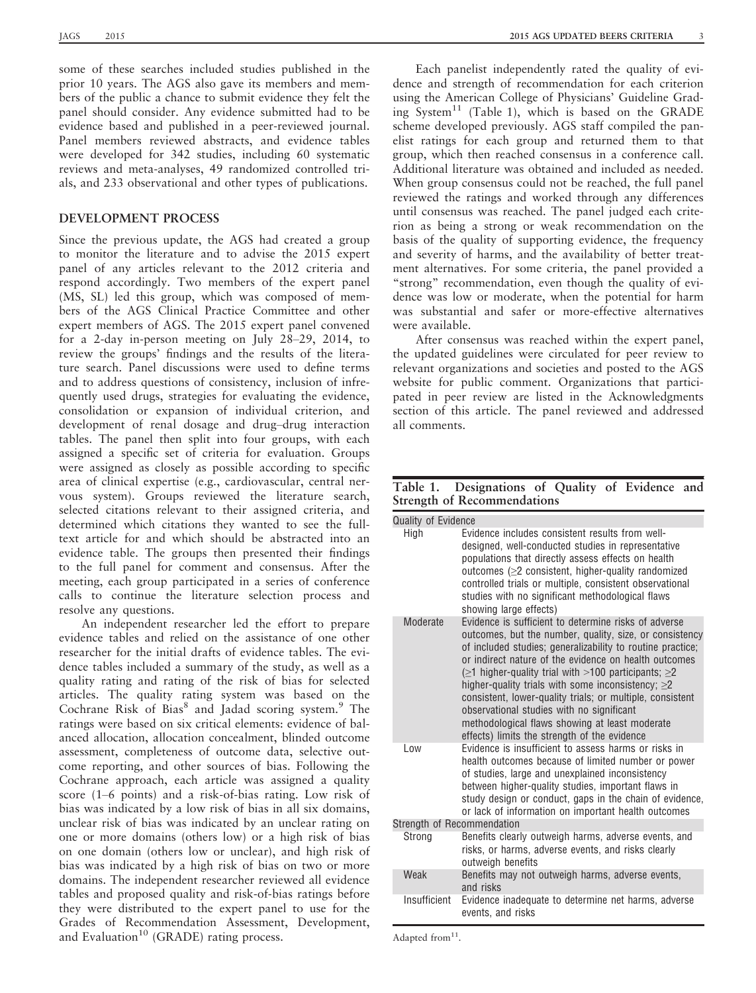some of these searches included studies published in the prior 10 years. The AGS also gave its members and members of the public a chance to submit evidence they felt the panel should consider. Any evidence submitted had to be evidence based and published in a peer-reviewed journal. Panel members reviewed abstracts, and evidence tables were developed for 342 studies, including 60 systematic reviews and meta-analyses, 49 randomized controlled trials, and 233 observational and other types of publications.

#### DEVELOPMENT PROCESS

Since the previous update, the AGS had created a group to monitor the literature and to advise the 2015 expert panel of any articles relevant to the 2012 criteria and respond accordingly. Two members of the expert panel (MS, SL) led this group, which was composed of members of the AGS Clinical Practice Committee and other expert members of AGS. The 2015 expert panel convened for a 2-day in-person meeting on July 28–29, 2014, to review the groups' findings and the results of the literature search. Panel discussions were used to define terms and to address questions of consistency, inclusion of infrequently used drugs, strategies for evaluating the evidence, consolidation or expansion of individual criterion, and development of renal dosage and drug–drug interaction tables. The panel then split into four groups, with each assigned a specific set of criteria for evaluation. Groups were assigned as closely as possible according to specific area of clinical expertise (e.g., cardiovascular, central nervous system). Groups reviewed the literature search, selected citations relevant to their assigned criteria, and determined which citations they wanted to see the fulltext article for and which should be abstracted into an evidence table. The groups then presented their findings to the full panel for comment and consensus. After the meeting, each group participated in a series of conference calls to continue the literature selection process and resolve any questions.

An independent researcher led the effort to prepare evidence tables and relied on the assistance of one other researcher for the initial drafts of evidence tables. The evidence tables included a summary of the study, as well as a quality rating and rating of the risk of bias for selected articles. The quality rating system was based on the Cochrane Risk of Bias<sup>8</sup> and Jadad scoring system.<sup>9</sup> The ratings were based on six critical elements: evidence of balanced allocation, allocation concealment, blinded outcome assessment, completeness of outcome data, selective outcome reporting, and other sources of bias. Following the Cochrane approach, each article was assigned a quality score (1–6 points) and a risk-of-bias rating. Low risk of bias was indicated by a low risk of bias in all six domains, unclear risk of bias was indicated by an unclear rating on one or more domains (others low) or a high risk of bias on one domain (others low or unclear), and high risk of bias was indicated by a high risk of bias on two or more domains. The independent researcher reviewed all evidence tables and proposed quality and risk-of-bias ratings before they were distributed to the expert panel to use for the Grades of Recommendation Assessment, Development, and Evaluation<sup>10</sup> (GRADE) rating process.

Each panelist independently rated the quality of evidence and strength of recommendation for each criterion using the American College of Physicians' Guideline Grading System<sup>11</sup> (Table 1), which is based on the GRADE scheme developed previously. AGS staff compiled the panelist ratings for each group and returned them to that group, which then reached consensus in a conference call. Additional literature was obtained and included as needed. When group consensus could not be reached, the full panel reviewed the ratings and worked through any differences until consensus was reached. The panel judged each criterion as being a strong or weak recommendation on the basis of the quality of supporting evidence, the frequency and severity of harms, and the availability of better treatment alternatives. For some criteria, the panel provided a "strong" recommendation, even though the quality of evidence was low or moderate, when the potential for harm was substantial and safer or more-effective alternatives were available.

After consensus was reached within the expert panel, the updated guidelines were circulated for peer review to relevant organizations and societies and posted to the AGS website for public comment. Organizations that participated in peer review are listed in the Acknowledgments section of this article. The panel reviewed and addressed all comments.

## Table 1. Designations of Quality of Evidence and Strength of Recommendations

| <b>Quality of Evidence</b> |                                                                                                                                                                                                                                                                                                                                                                                                                                                                                                                                                                                 |
|----------------------------|---------------------------------------------------------------------------------------------------------------------------------------------------------------------------------------------------------------------------------------------------------------------------------------------------------------------------------------------------------------------------------------------------------------------------------------------------------------------------------------------------------------------------------------------------------------------------------|
| High                       | Evidence includes consistent results from well-<br>designed, well-conducted studies in representative<br>populations that directly assess effects on health<br>outcomes ( $\geq$ 2 consistent, higher-quality randomized<br>controlled trials or multiple, consistent observational<br>studies with no significant methodological flaws<br>showing large effects)                                                                                                                                                                                                               |
| Moderate                   | Evidence is sufficient to determine risks of adverse<br>outcomes, but the number, quality, size, or consistency<br>of included studies; generalizability to routine practice;<br>or indirect nature of the evidence on health outcomes<br>$\geq$ 1 higher-quality trial with >100 participants; $\geq$ 2<br>higher-quality trials with some inconsistency; $\geq$ 2<br>consistent, lower-quality trials; or multiple, consistent<br>observational studies with no significant<br>methodological flaws showing at least moderate<br>effects) limits the strength of the evidence |
| l ow                       | Evidence is insufficient to assess harms or risks in<br>health outcomes because of limited number or power<br>of studies, large and unexplained inconsistency<br>between higher-quality studies, important flaws in<br>study design or conduct, gaps in the chain of evidence,<br>or lack of information on important health outcomes                                                                                                                                                                                                                                           |
| Strength of Recommendation |                                                                                                                                                                                                                                                                                                                                                                                                                                                                                                                                                                                 |
| Strong                     | Benefits clearly outweigh harms, adverse events, and<br>risks, or harms, adverse events, and risks clearly<br>outweigh benefits                                                                                                                                                                                                                                                                                                                                                                                                                                                 |
| Weak                       | Benefits may not outweigh harms, adverse events,<br>and risks                                                                                                                                                                                                                                                                                                                                                                                                                                                                                                                   |
| Insufficient               | Evidence inadequate to determine net harms, adverse<br>events, and risks                                                                                                                                                                                                                                                                                                                                                                                                                                                                                                        |

Adapted from  $11$ .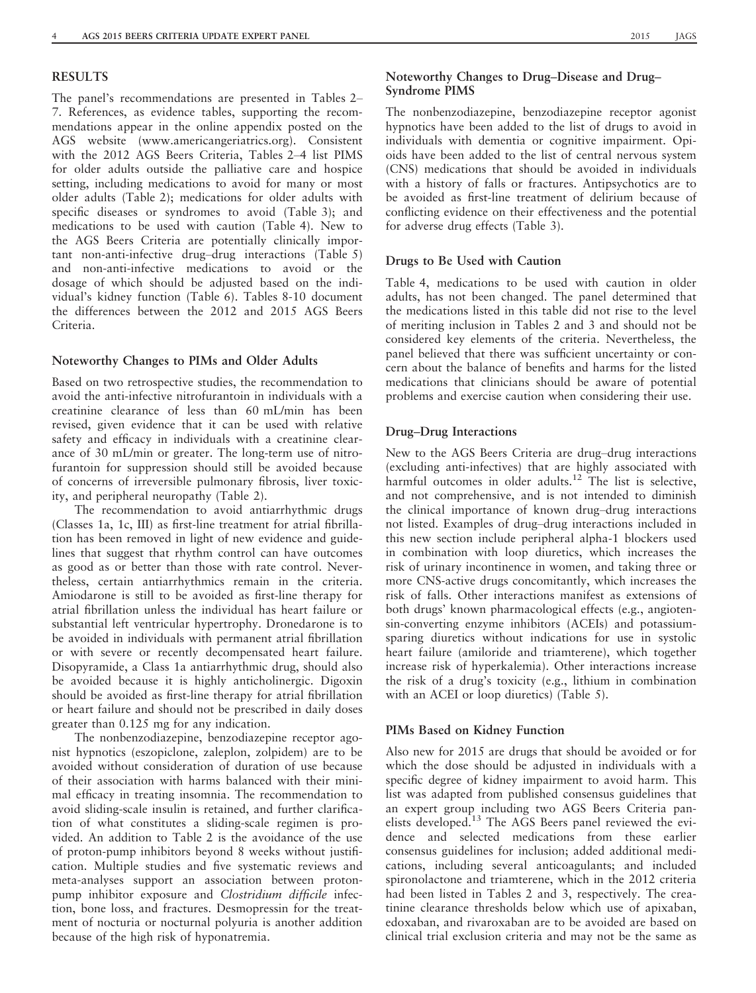# RESULTS

The panel's recommendations are presented in Tables 2– 7. References, as evidence tables, supporting the recommendations appear in the online appendix posted on the AGS website ([www.americangeriatrics.org\)](http://www.americangeriatrics.org). Consistent with the 2012 AGS Beers Criteria, Tables 2–4 list PIMS for older adults outside the palliative care and hospice setting, including medications to avoid for many or most older adults (Table 2); medications for older adults with specific diseases or syndromes to avoid (Table 3); and medications to be used with caution (Table 4). New to the AGS Beers Criteria are potentially clinically important non-anti-infective drug–drug interactions (Table 5) and non-anti-infective medications to avoid or the dosage of which should be adjusted based on the individual's kidney function (Table 6). Tables 8-10 document the differences between the 2012 and 2015 AGS Beers Criteria.

#### Noteworthy Changes to PIMs and Older Adults

Based on two retrospective studies, the recommendation to avoid the anti-infective nitrofurantoin in individuals with a creatinine clearance of less than 60 mL/min has been revised, given evidence that it can be used with relative safety and efficacy in individuals with a creatinine clearance of 30 mL/min or greater. The long-term use of nitrofurantoin for suppression should still be avoided because of concerns of irreversible pulmonary fibrosis, liver toxicity, and peripheral neuropathy (Table 2).

The recommendation to avoid antiarrhythmic drugs (Classes 1a, 1c, III) as first-line treatment for atrial fibrillation has been removed in light of new evidence and guidelines that suggest that rhythm control can have outcomes as good as or better than those with rate control. Nevertheless, certain antiarrhythmics remain in the criteria. Amiodarone is still to be avoided as first-line therapy for atrial fibrillation unless the individual has heart failure or substantial left ventricular hypertrophy. Dronedarone is to be avoided in individuals with permanent atrial fibrillation or with severe or recently decompensated heart failure. Disopyramide, a Class 1a antiarrhythmic drug, should also be avoided because it is highly anticholinergic. Digoxin should be avoided as first-line therapy for atrial fibrillation or heart failure and should not be prescribed in daily doses greater than 0.125 mg for any indication.

The nonbenzodiazepine, benzodiazepine receptor agonist hypnotics (eszopiclone, zaleplon, zolpidem) are to be avoided without consideration of duration of use because of their association with harms balanced with their minimal efficacy in treating insomnia. The recommendation to avoid sliding-scale insulin is retained, and further clarification of what constitutes a sliding-scale regimen is provided. An addition to Table 2 is the avoidance of the use of proton-pump inhibitors beyond 8 weeks without justification. Multiple studies and five systematic reviews and meta-analyses support an association between protonpump inhibitor exposure and Clostridium difficile infection, bone loss, and fractures. Desmopressin for the treatment of nocturia or nocturnal polyuria is another addition because of the high risk of hyponatremia.

# Noteworthy Changes to Drug–Disease and Drug– Syndrome PIMS

The nonbenzodiazepine, benzodiazepine receptor agonist hypnotics have been added to the list of drugs to avoid in individuals with dementia or cognitive impairment. Opioids have been added to the list of central nervous system (CNS) medications that should be avoided in individuals with a history of falls or fractures. Antipsychotics are to be avoided as first-line treatment of delirium because of conflicting evidence on their effectiveness and the potential for adverse drug effects (Table 3).

#### Drugs to Be Used with Caution

Table 4, medications to be used with caution in older adults, has not been changed. The panel determined that the medications listed in this table did not rise to the level of meriting inclusion in Tables 2 and 3 and should not be considered key elements of the criteria. Nevertheless, the panel believed that there was sufficient uncertainty or concern about the balance of benefits and harms for the listed medications that clinicians should be aware of potential problems and exercise caution when considering their use.

## Drug–Drug Interactions

New to the AGS Beers Criteria are drug–drug interactions (excluding anti-infectives) that are highly associated with harmful outcomes in older adults.<sup>12</sup> The list is selective, and not comprehensive, and is not intended to diminish the clinical importance of known drug–drug interactions not listed. Examples of drug–drug interactions included in this new section include peripheral alpha-1 blockers used in combination with loop diuretics, which increases the risk of urinary incontinence in women, and taking three or more CNS-active drugs concomitantly, which increases the risk of falls. Other interactions manifest as extensions of both drugs' known pharmacological effects (e.g., angiotensin-converting enzyme inhibitors (ACEIs) and potassiumsparing diuretics without indications for use in systolic heart failure (amiloride and triamterene), which together increase risk of hyperkalemia). Other interactions increase the risk of a drug's toxicity (e.g., lithium in combination with an ACEI or loop diuretics) (Table 5).

## PIMs Based on Kidney Function

Also new for 2015 are drugs that should be avoided or for which the dose should be adjusted in individuals with a specific degree of kidney impairment to avoid harm. This list was adapted from published consensus guidelines that an expert group including two AGS Beers Criteria panelists developed.<sup>13</sup> The AGS Beers panel reviewed the evidence and selected medications from these earlier consensus guidelines for inclusion; added additional medications, including several anticoagulants; and included spironolactone and triamterene, which in the 2012 criteria had been listed in Tables 2 and 3, respectively. The creatinine clearance thresholds below which use of apixaban, edoxaban, and rivaroxaban are to be avoided are based on clinical trial exclusion criteria and may not be the same as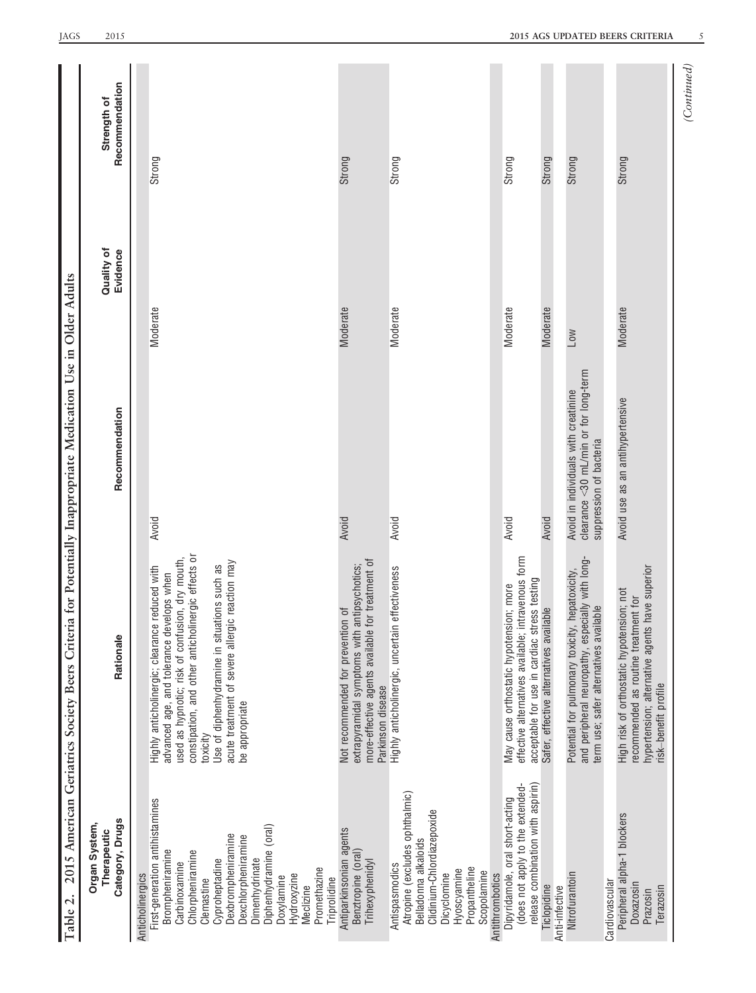| Category, Drugs<br>Organ System<br>Therapeutic                                                                                                                                                                                                                                                                 | Rationale                                                                                                                                                                                                                                                                                                                             | Recommendation                                                                                           | Quality of<br>Evidence | Recommendation<br>Strength of |
|----------------------------------------------------------------------------------------------------------------------------------------------------------------------------------------------------------------------------------------------------------------------------------------------------------------|---------------------------------------------------------------------------------------------------------------------------------------------------------------------------------------------------------------------------------------------------------------------------------------------------------------------------------------|----------------------------------------------------------------------------------------------------------|------------------------|-------------------------------|
| First-generation antihistamines<br>Diphenhydramine (oral)<br>Dexbrompheniramine<br>Dexchlorpheniramine<br>Brompheniramine<br>Chlorpheniramine<br>Cyproheptadine<br>Dimenhydrinate<br>Carbinoxamine<br>Promethazine<br>Anticholinergics<br>Hydroxyzine<br>Doxylamine<br>Triprolidine<br>Clemastine<br>Meclizine | constipation, and other anticholinergic effects or<br>used as hypnotic; risk of confusion, dry mouth,<br>acute treatment of severe allergic reaction may<br>Use of diphenhydramine in situations such as<br>Highly anticholinergic; clearance reduced with<br>advanced age, and tolerance develops when<br>be appropriate<br>toxicity | Avoid                                                                                                    | Moderate               | Strong                        |
| Antiparkinsonian agents<br>Benztropine (oral)<br>Trihexyphenidyl                                                                                                                                                                                                                                               | for treatment of<br>antipsychotics;<br>Not recommended for prevention of<br>extrapyramidal symptoms with<br>more-effective agents available<br>Parkinson disease                                                                                                                                                                      | Avoid                                                                                                    | Moderate               | Strong                        |
| Atropine (excludes ophthalmic)<br>Clidinium-Chlordiazepoxide<br>Belladonna alkaloids<br>Antispasmodics<br>Propantheline<br>Hyoscyamine<br>Scopolamine<br>Antithrombotics<br>Dicyclomine                                                                                                                        | effectiveness<br>Highly anticholinergic, uncertain                                                                                                                                                                                                                                                                                    | Avoid                                                                                                    | Moderate               | Strong                        |
| (does not apply to the extended-<br>release combination with aspirin)<br>Dipyridamole, oral short-acting                                                                                                                                                                                                       | intravenous form<br>acceptable for use in cardiac stress testing<br>May cause orthostatic hypotension; more<br>effective alternatives available;                                                                                                                                                                                      | Avoid                                                                                                    | Moderate               | Strong                        |
| Ticlopidine<br>Anti-infective                                                                                                                                                                                                                                                                                  | Safer, effective alternatives available                                                                                                                                                                                                                                                                                               | Avoid                                                                                                    | <b>Moderate</b>        | Strong                        |
| Nitrofurantoin<br>Cardiovascular                                                                                                                                                                                                                                                                               | and peripheral neuropathy, especially with long-<br>term use; safer alternatives available<br>Potential for pulmonary toxicity, hepatoxicity,                                                                                                                                                                                         | clearance <30 mL/min or for long-term<br>Avoid in individuals with creatinine<br>suppression of bacteria | <b>NOT</b>             | Strong                        |
| Peripheral alpha-1 blockers<br>Doxazosin<br>Terazosin<br>Prazosin                                                                                                                                                                                                                                              | have superior<br>High risk of orthostatic hypotension; not<br>recommended as routine treatment for<br>hypertension; alternative agents<br>risk-benefit profile                                                                                                                                                                        | Avoid use as an antihypertensive                                                                         | Moderate               | Strong                        |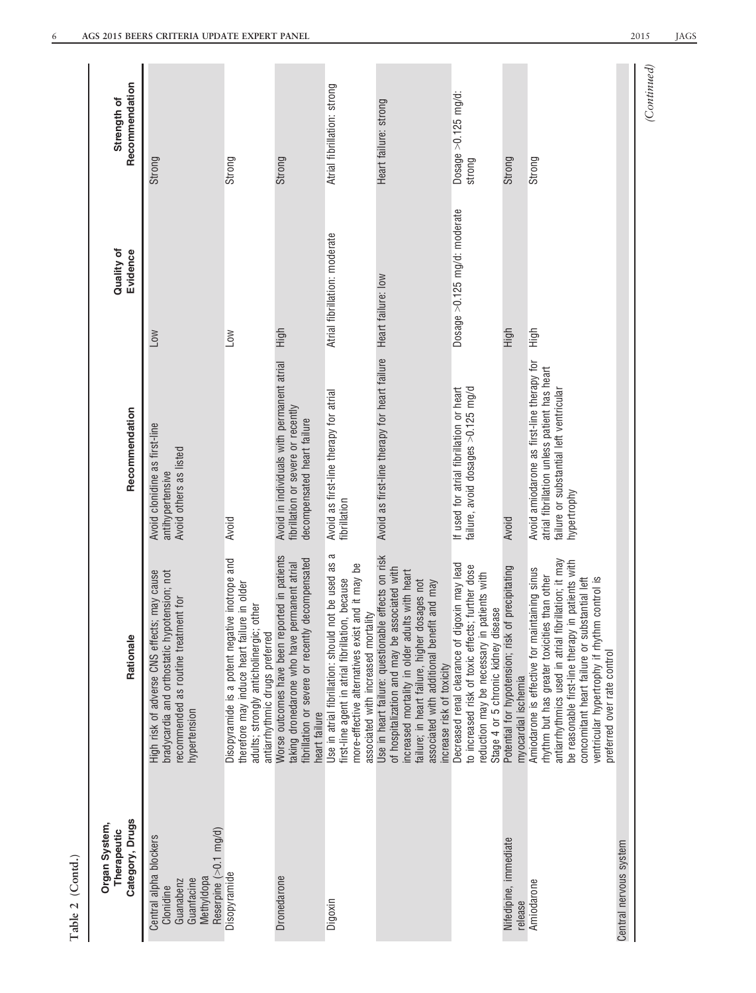| Category, Drugs<br>Organ System,<br>Therapeutic                                                       | Rationale                                                                                                                                                                                                                                                                                                                                 | Recommendation                                                                                                                                       | Quality of<br>Evidence         | Recommendation<br>Strength of   |
|-------------------------------------------------------------------------------------------------------|-------------------------------------------------------------------------------------------------------------------------------------------------------------------------------------------------------------------------------------------------------------------------------------------------------------------------------------------|------------------------------------------------------------------------------------------------------------------------------------------------------|--------------------------------|---------------------------------|
| Reserpine (>0.1 mg/d)<br>Central alpha blockers<br>Methyldopa<br>Guanfacine<br>Guanabenz<br>Clonidine | High risk of adverse CNS effects; may cause<br>bradycardia and orthostatic hypotension; not<br>recommended as routine treatment for<br>hypertension                                                                                                                                                                                       | Avoid clonidine as first-line<br>Avoid others as listed<br>antihypertensive                                                                          | $\sqrt{10}$                    | Strong                          |
| Disopyramide                                                                                          | Disopyramide is a potent negative inotrope and<br>therefore may induce heart failure in older<br>other<br>adults; strongly anticholinergic;<br>antiarrhythmic drugs preferred                                                                                                                                                             | Avoid                                                                                                                                                | <b>NOT</b>                     | Strong                          |
| Dronedarone                                                                                           | Worse outcomes have been reported in patients<br>decompensated<br>taking dronedarone who have permanent atrial<br>fibrillation or severe or recently<br>heart failure                                                                                                                                                                     | Avoid in individuals with permanent atrial<br>fibrillation or severe or recently<br>decompensated heart failure                                      | High                           | Strong                          |
| Digoxin                                                                                               | Use in atrial fibrillation: should not be used as a<br>and it may be<br>first-line agent in atrial fibrillation, because<br>associated with increased mortality<br>more-effective alternatives exist                                                                                                                                      | Avoid as first-line therapy for atrial<br>fibrillation                                                                                               | Atrial fibrillation: moderate  | Atrial fibrillation: strong     |
|                                                                                                       | Use in heart failure: questionable effects on risk<br>of hospitalization and may be associated with<br>increased mortality in older adults with heart<br>failure; in heart failure, higher dosages not<br>associated with additional benefit and may<br>increase risk of toxicity                                                         | Avoid as first-line therapy for heart failure                                                                                                        | Heart failure: low             | Heart failure: strong           |
|                                                                                                       | Decreased renal clearance of digoxin may lead<br>to increased risk of toxic effects; further dose<br>reduction may be necessary in patients with<br>Stage 4 or 5 chronic kidney disease                                                                                                                                                   | If used for atrial fibrillation or heart<br>failure, avoid dosages $>0.125$ mg/d                                                                     | Dosage $>0.125$ mg/d: moderate | Dosage $>0.125$ mg/d:<br>strong |
| Nifedipine, immediate<br>release                                                                      | f precipitating<br>Potential for hypotension; risk of<br>myocardial ischemia                                                                                                                                                                                                                                                              | Avoid                                                                                                                                                | High                           | Strong                          |
| Amiodarone                                                                                            | antiarrhythmics used in atrial fibrillation; it may<br>be reasonable first-line therapy in patients with<br>Amiodarone is effective for maintaining sinus<br>rhythm but has greater toxicities than other<br>concomitant heart failure or substantial left<br>ventricular hypertrophy if rhythm control is<br>preferred over rate control | Avoid amiodarone as first-line therapy for<br>atrial fibrillation unless patient has heart<br>failure or substantial left ventricular<br>hypertrophy | High                           | Strong                          |
| Central nervous system                                                                                |                                                                                                                                                                                                                                                                                                                                           |                                                                                                                                                      |                                |                                 |
|                                                                                                       |                                                                                                                                                                                                                                                                                                                                           |                                                                                                                                                      |                                | (Continued)                     |

Table 2 (Contd.)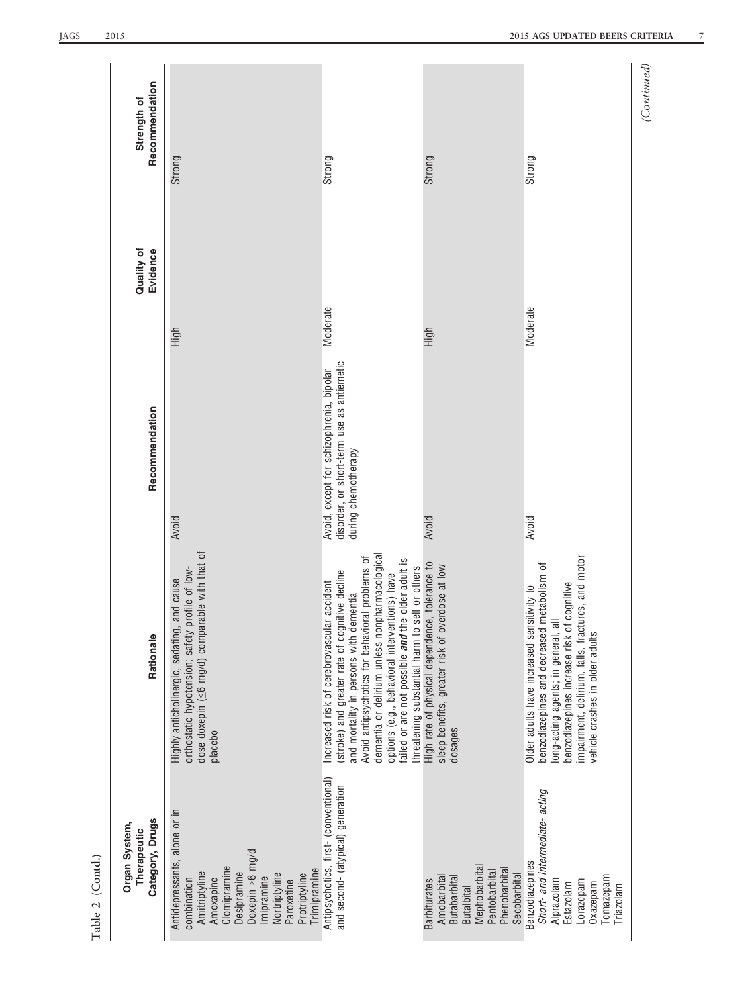| (Contd.)<br>Table 2                                                                                                                                                                                       |                                                                                                                                                                                                                                                                                                                                                                                                        |                                                                                                              |                        |                               |
|-----------------------------------------------------------------------------------------------------------------------------------------------------------------------------------------------------------|--------------------------------------------------------------------------------------------------------------------------------------------------------------------------------------------------------------------------------------------------------------------------------------------------------------------------------------------------------------------------------------------------------|--------------------------------------------------------------------------------------------------------------|------------------------|-------------------------------|
| Category, Drugs<br>Organ System,<br>Therapeutic                                                                                                                                                           | Rationale                                                                                                                                                                                                                                                                                                                                                                                              | Recommendation                                                                                               | Quality of<br>Evidence | Recommendation<br>Strength of |
| Antidepressants, alone or in<br>Doxepin >6 mg/d<br>Clomipramine<br>Trimipramine<br>Desipramine<br>Amitriptyline<br>Nortriptyline<br>Protriptyline<br>Imipramine<br>Amoxapine<br>combination<br>Paroxetine | dose doxepin ( $\leq$ 6 mg/d) comparable with that of<br>orthostatic hypotension; safety profile of low-<br>, and cause<br>Highly anticholinergic, sedating<br>placebo                                                                                                                                                                                                                                 | Avoid                                                                                                        | High                   | Strong                        |
| Antipsychotics, first- (conventional)<br>and second- (atypical) generation                                                                                                                                | dementia or delirium unless nonpharmacological<br>Avoid antipsychotics for behavioral problems of<br>failed or are not possible and the older adult is<br>self or others<br>(stroke) and greater rate of cognitive decline<br>options (e.g., behavioral interventions) have<br>Increased risk of cerebrovascular accident<br>and mortality in persons with dementia<br>threatening substantial harm to | disorder, or short-term use as antiemetic<br>Avoid, except for schizophrenia, bipolar<br>during chemotherapy | Moderate               | Strong                        |
| Mephobarbital<br>Phenobarbital<br>Pentobarbital<br>Secobarbital<br>Amobarbital<br><b>Butabarbital</b><br><b>Barbiturates</b><br><b>Butalbital</b>                                                         | High rate of physical dependence, tolerance to<br>sleep benefits, greater risk of overdose at low<br>dosages                                                                                                                                                                                                                                                                                           | Avoid                                                                                                        | High                   | Strong                        |
| Short- and intermediate- acting<br><b>Benzodiazepines</b><br>Temazepam<br>Alprazolam<br>Lorazepam<br>Estazolam<br>Oxazepam<br>Triazolam                                                                   | impairment, delirium, falls, fractures, and motor<br>metabolism of<br>benzodiazepines increase risk of cognitive<br>Older adults have increased sensitivity to<br>$\equiv$<br>benzodiazepines and decreased<br>vehicle crashes in older adults<br>long-acting agents; in general,                                                                                                                      | Avoid                                                                                                        | Moderate               | Strong                        |
|                                                                                                                                                                                                           |                                                                                                                                                                                                                                                                                                                                                                                                        |                                                                                                              |                        | (Continued)                   |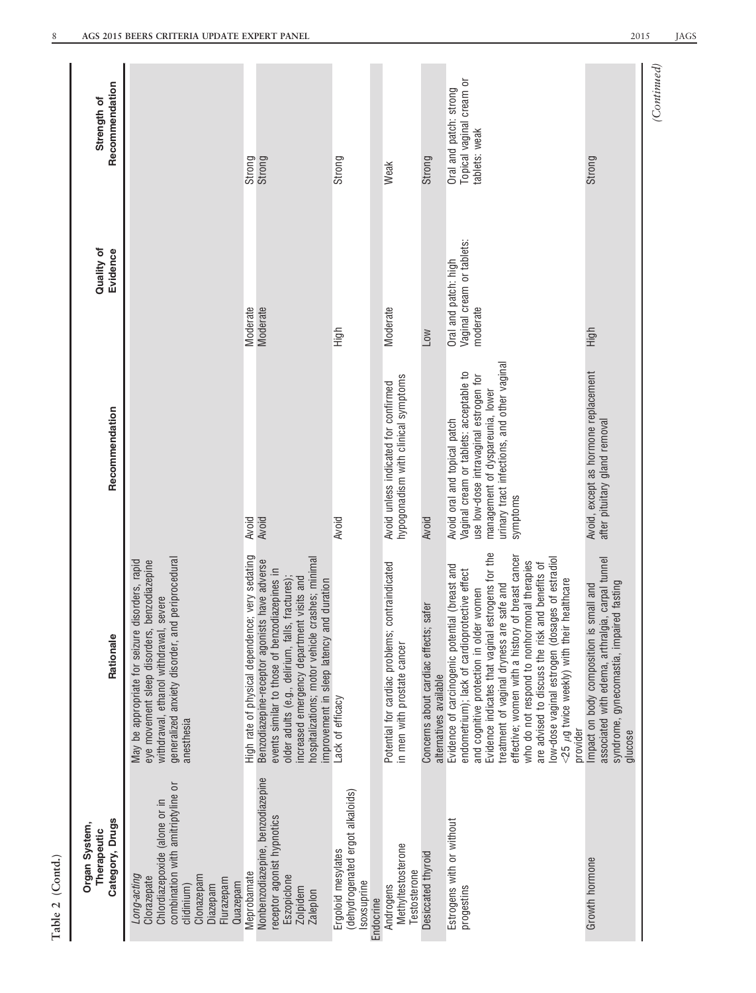| Recommendation<br>Strength of                   |                                                                                                                                                                                                             | Strong<br>Strong                                                                                                                                                                                                                                                                                                                                       | Strong                                                                             | Weak                                                                           | Strong                                                          | Topical vaginal cream or<br>Oral and patch: strong<br>tablets: weak                                                                                                                                                                                                                                                                                                                                                                                                                                             | Strong                                                                                                                                             | (Continued) |
|-------------------------------------------------|-------------------------------------------------------------------------------------------------------------------------------------------------------------------------------------------------------------|--------------------------------------------------------------------------------------------------------------------------------------------------------------------------------------------------------------------------------------------------------------------------------------------------------------------------------------------------------|------------------------------------------------------------------------------------|--------------------------------------------------------------------------------|-----------------------------------------------------------------|-----------------------------------------------------------------------------------------------------------------------------------------------------------------------------------------------------------------------------------------------------------------------------------------------------------------------------------------------------------------------------------------------------------------------------------------------------------------------------------------------------------------|----------------------------------------------------------------------------------------------------------------------------------------------------|-------------|
| Quality of<br>Evidence                          |                                                                                                                                                                                                             | Moderate<br>Moderate                                                                                                                                                                                                                                                                                                                                   | High                                                                               | Moderate                                                                       | $\sqrt{100}$                                                    | Vaginal cream or tablets:<br>Oral and patch: high<br>moderate                                                                                                                                                                                                                                                                                                                                                                                                                                                   | High                                                                                                                                               |             |
| Recommendation                                  |                                                                                                                                                                                                             | Avoid<br>Avoid                                                                                                                                                                                                                                                                                                                                         | Avoid                                                                              | hypogonadism with clinical symptoms<br>Avoid unless indicated for confirmed    | Avoid                                                           | urinary tract infections, and other vaginal<br>Vaginal cream or tablets: acceptable to<br>use low-dose intravaginal estrogen for<br>management of dyspareunia, lower<br>Avoid oral and topical patch<br>symptoms                                                                                                                                                                                                                                                                                                | Avoid, except as hormone replacement<br>after pituitary gland removal                                                                              |             |
| Rationale                                       | generalized anxiety disorder, and periprocedural<br>May be appropriate for seizure disorders, rapid<br>eye movement sleep disorders, benzodiazepine<br>withdrawal, ethanol withdrawal, severe<br>anesthesia | High rate of physical dependence; very sedating<br>hospitalizations; motor vehicle crashes; minimal<br>Benzodiazepine-receptor agonists have adverse<br>events similar to those of benzodiazepines in<br>older adults (e.g., delirium, falls, fractures);<br>increased emergency department visits and<br>and duration<br>improvement in sleep latency | Lack of efficacy                                                                   | Potential for cardiac problems; contraindicated<br>in men with prostate cancer | Concerns about cardiac effects; safer<br>alternatives available | Evidence indicates that vaginal estrogens for the<br>effective; women with a history of breast cancer<br>low-dose vaginal estrogen (dosages of estradiol<br>who do not respond to nonhormonal therapies<br>are advised to discuss the risk and benefits of<br>Evidence of carcinogenic potential (breast and<br>endometrium); lack of cardioprotective effect<br><25 µg twice weekly) with their healthcare<br>treatment of vaginal dryness are safe and<br>and cognitive protection in older women<br>provider | associated with edema, arthralgia, carpal tunnel<br>syndrome, gynecomastia, impaired fasting<br>Impact on body composition is small and<br>glucose |             |
| Category, Drugs<br>Organ System,<br>Therapeutic | combination with amitriptyline or<br>Chlordiazepoxide (alone or in<br>Clonazepam<br>Long-acting<br>Clorazepate<br>Flurazepam<br>Quazepam<br>clidinium)<br>Diazepam                                          | Nonbenzodiazepine, benzodiazepine<br>receptor agonist hypnotics<br>Meprobamate<br><b>Eszopiclone</b><br>Zolpidem<br>Zaleplon                                                                                                                                                                                                                           | (dehydrogenated ergot alkaloids)<br>Ergoloid mesylates<br>Isoxsuprine<br>Endocrine | Methyltestosterone<br>Testosterone<br>Androgens                                | Desiccated thyroid                                              | Estrogens with or without<br>progestins                                                                                                                                                                                                                                                                                                                                                                                                                                                                         | Growth hormone                                                                                                                                     |             |

Table 2 (Contd.)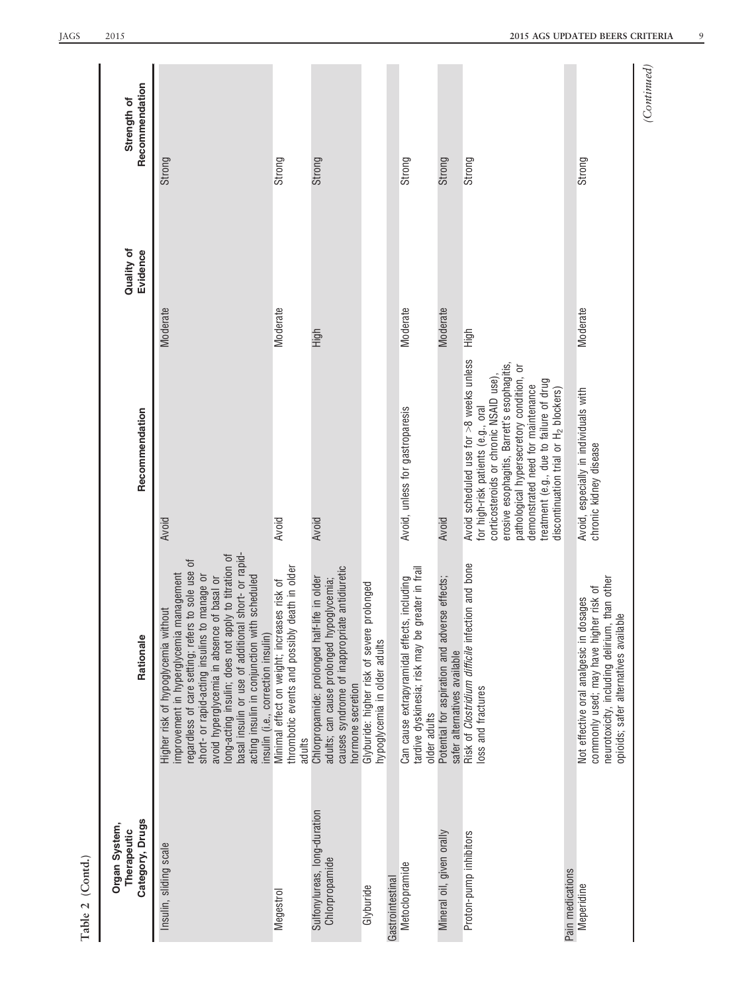| Table 2 (Contd.)                                |                                                                                                                                                                                                                                                                                                                                                                                                                                      |                                                                                                                                                                                                                                                                                                                                                          |                        |                               |
|-------------------------------------------------|--------------------------------------------------------------------------------------------------------------------------------------------------------------------------------------------------------------------------------------------------------------------------------------------------------------------------------------------------------------------------------------------------------------------------------------|----------------------------------------------------------------------------------------------------------------------------------------------------------------------------------------------------------------------------------------------------------------------------------------------------------------------------------------------------------|------------------------|-------------------------------|
| Category, Drugs<br>Organ System,<br>Therapeutic | Rationale                                                                                                                                                                                                                                                                                                                                                                                                                            | Recommendation                                                                                                                                                                                                                                                                                                                                           | Quality of<br>Evidence | Recommendation<br>Strength of |
| Insulin, sliding scale                          | basal insulin or use of additional short- or rapid-<br>long-acting insulin; does not apply to titration of<br>regardless of care setting; refers to sole use of<br>mprovement in hyperglycemia management<br>acting insulin in conjunction with scheduled<br>short- or rapid-acting insulins to manage or<br>avoid hyperglycemia in absence of basal or<br>Higher risk of hypoglycemia without<br>insulin (i.e., correction insulin) | Avoid                                                                                                                                                                                                                                                                                                                                                    | Moderate               | Strong                        |
| Megestrol                                       | thrombotic events and possibly death in older<br>Minimal effect on weight; increases risk of<br>adults                                                                                                                                                                                                                                                                                                                               | Avoid                                                                                                                                                                                                                                                                                                                                                    | Moderate               | Strong                        |
| Sulfonylureas, long-duration<br>Chlorpropamide  | causes syndrome of inappropriate antidiuretic<br>Chlorpropamide: prolonged half-life in older<br>adults; can cause prolonged hypoglycemia;<br>hormone secretion                                                                                                                                                                                                                                                                      | Avoid                                                                                                                                                                                                                                                                                                                                                    | High                   | Strong                        |
| Glyburide                                       | Glyburide: higher risk of severe prolonged<br>hypoglycemia in older adults                                                                                                                                                                                                                                                                                                                                                           |                                                                                                                                                                                                                                                                                                                                                          |                        |                               |
| Gastrointestinal                                |                                                                                                                                                                                                                                                                                                                                                                                                                                      |                                                                                                                                                                                                                                                                                                                                                          |                        |                               |
| Metoclopramide                                  | greater in frail<br>Can cause extrapyramidal effects, including<br>tardive dyskinesia; risk may be<br>older adults                                                                                                                                                                                                                                                                                                                   | Avoid, unless for gastroparesis                                                                                                                                                                                                                                                                                                                          | <b>Moderate</b>        | Strong                        |
| Mineral oil, given orally                       | Potential for aspiration and adverse effects;<br>safer alternatives available                                                                                                                                                                                                                                                                                                                                                        | Avoid                                                                                                                                                                                                                                                                                                                                                    | Moderate               | Strong                        |
| Proton-pump inhibitors                          | Risk of Clostridium difficile infection and bone<br>loss and fractures                                                                                                                                                                                                                                                                                                                                                               | Avoid scheduled use for >8 weeks unless<br>erosive esophagitis, Barrett's esophagitis,<br>pathological hypersecretory condition, or<br>corticosteroids or chronic NSAID use),<br>treatment (e.g., due to failure of drug<br>demonstrated need for maintenance<br>discontinuation trial or H <sub>2</sub> blockers)<br>for high-risk patients (e.g., oral | High                   | Strong                        |
| Pain medications                                |                                                                                                                                                                                                                                                                                                                                                                                                                                      |                                                                                                                                                                                                                                                                                                                                                          |                        |                               |
| Meperidine                                      | neurotoxicity, including delirium, than other<br>commonly used; may have higher risk of<br>Not effective oral analgesic in dosages<br>opioids; safer alternatives available                                                                                                                                                                                                                                                          | Avoid, especially in individuals with<br>chronic kidney disease                                                                                                                                                                                                                                                                                          | Moderate               | Strong                        |
|                                                 |                                                                                                                                                                                                                                                                                                                                                                                                                                      |                                                                                                                                                                                                                                                                                                                                                          |                        | (Continued)                   |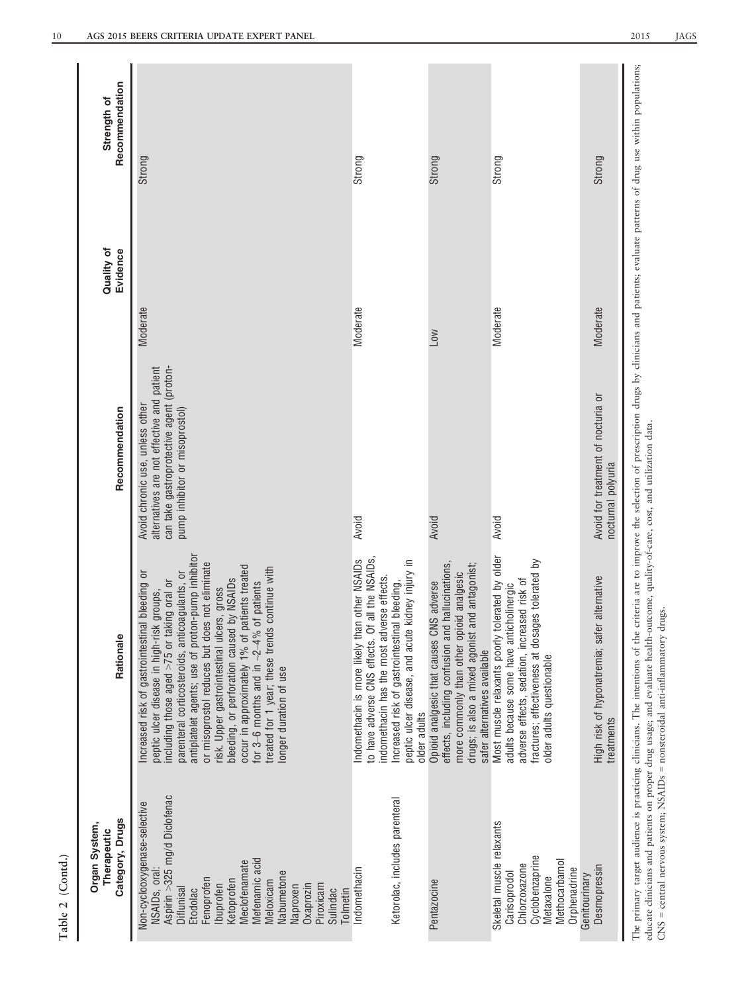| (Contd.)<br>Table 2                                                                                                                                                                                                                                                                 |                                                                                                                                                                                                                                                                                                                                                                                                                                                                                                                                                                                  |                                                                                                                                                             |                           |                               |
|-------------------------------------------------------------------------------------------------------------------------------------------------------------------------------------------------------------------------------------------------------------------------------------|----------------------------------------------------------------------------------------------------------------------------------------------------------------------------------------------------------------------------------------------------------------------------------------------------------------------------------------------------------------------------------------------------------------------------------------------------------------------------------------------------------------------------------------------------------------------------------|-------------------------------------------------------------------------------------------------------------------------------------------------------------|---------------------------|-------------------------------|
| Category, Drugs<br>Organ System,<br>Therapeutic                                                                                                                                                                                                                                     | Rationale                                                                                                                                                                                                                                                                                                                                                                                                                                                                                                                                                                        | Recommendation                                                                                                                                              | Quality of<br>Evidence    | Recommendation<br>Strength of |
| Aspirin >325 mg/d Diclofenac<br>Non-cyclooxygenase-selective<br>Mefenamic acid<br>Meclofenamate<br>NSAIDs, oral:<br>Nabumetone<br>Fenoprofen<br>Ketoprofen<br>Meloxicam<br><b>Ibuprofen</b><br>Oxaprozin<br>Piroxicam<br>Naproxen<br>Diflunisal<br>Tolmetin<br>Etodolac<br>Sulindac | antiplatelet agents; use of proton-pump inhibitor<br>or misoprostol reduces but does not eliminate<br>occur in approximately 1% of patients treated<br>continue with<br>Increased risk of gastrointestinal bleeding or<br>parenteral corticosteroids, anticoagulants, or<br>bleeding, or perforation caused by NSAIDs<br>including those aged >75 or taking oral or<br>of patients<br>risk. Upper gastrointestinal ulcers, gross<br>peptic ulcer disease in high-risk groups,<br>treated for 1 year; these trends<br>for 3–6 months and in $\sim$ 2–4%<br>longer duration of use | can take gastroprotective agent (proton-<br>alternatives are not effective and patient<br>Avoid chronic use, unless other<br>pump inhibitor or misoprostol) | Strong<br><b>Moderate</b> |                               |
| Ketorolac, includes parenteral<br>Indomethacin                                                                                                                                                                                                                                      | all the NSAIDs.<br>Indomethacin is more likely than other NSAIDs<br>peptic ulcer disease, and acute kidney injury in<br>indomethacin has the most adverse effects.<br>Increased risk of gastrointestinal bleeding,<br>to have adverse CNS effects. Of<br>older adults                                                                                                                                                                                                                                                                                                            | Avoid                                                                                                                                                       | Strong<br>Moderate        |                               |
| Pentazocine                                                                                                                                                                                                                                                                         | hallucinations,<br>drugs; is also a mixed agonist and antagonist;<br>more commonly than other opioid analgesic<br>Opioid analgesic that causes CNS adverse<br>effects, including confusion and<br>safer alternatives available                                                                                                                                                                                                                                                                                                                                                   | Avoid                                                                                                                                                       | Strong<br>$\sqrt{10}$     |                               |
| Skeletal muscle relaxants<br>Cyclobenzaprine<br><b>Methocarbamol</b><br>Chlorzoxazone<br>Orphenadrine<br>Carisoprodol<br>Genitourinary<br>Metaxalone                                                                                                                                | Most muscle relaxants poorly tolerated by older<br>fractures; effectiveness at dosages tolerated by<br>adverse effects, sedation, increased risk of<br>adults because some have anticholinergic<br>older adults questionable                                                                                                                                                                                                                                                                                                                                                     | Avoid                                                                                                                                                       | Strong<br>Moderate        |                               |
| Desmopressin                                                                                                                                                                                                                                                                        | High risk of hyponatremia; safer alternative<br>treatments                                                                                                                                                                                                                                                                                                                                                                                                                                                                                                                       | Avoid for treatment of nocturia or<br>nocturnal polyuria                                                                                                    | Strong<br>Moderate        |                               |
| CNS = central nervous system; NSAIDs = nonsteroidal anti-inflammatory drugs.                                                                                                                                                                                                        | The primary target audience is practicing clinicians. The intentions of the criteria are to improve the selection of prescription drugs by clinicians and patients; evaluate patterns of drug use within populations;<br>educate clinicians and patients on proper drug usage; and evaluate health-outcome, quality-of-care, cost, and utilization data.                                                                                                                                                                                                                         |                                                                                                                                                             |                           |                               |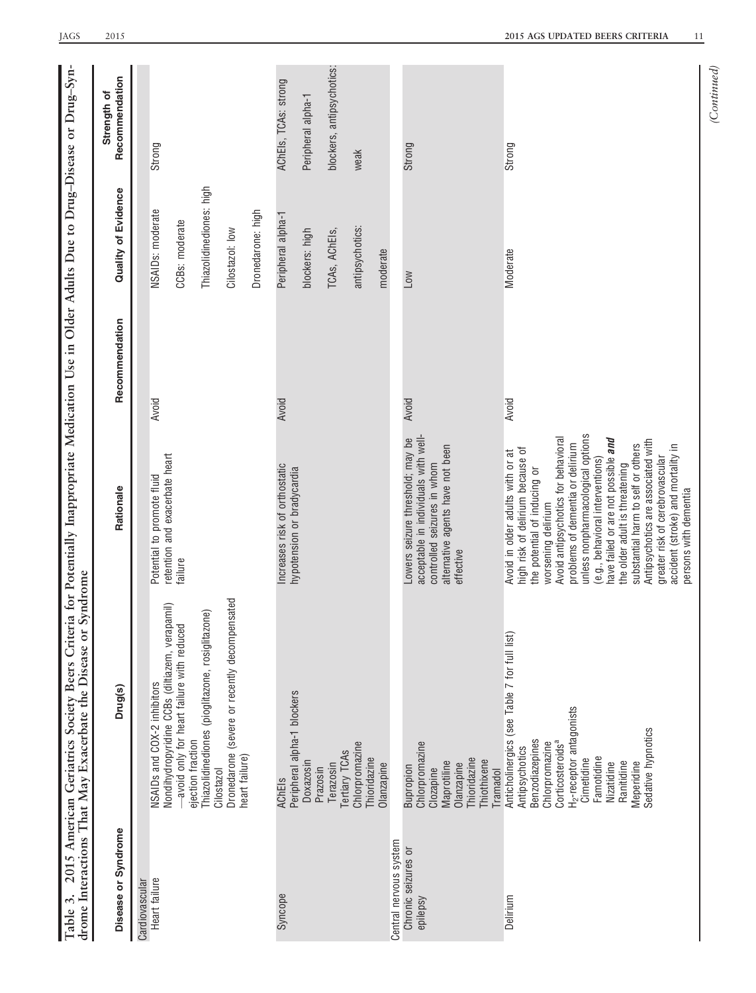| Table 3.                                                              | Syndrome<br>drome Interactions That May Exacerbate the Disease or                                                                                                                                                                                                                                                                                                                         |                                                                                                                                                                                                                                                                                                                                                                                                                                                                                                                                                                                                                                                                                                   | 2015 American Geriatrics Society Beers Criteria for Potentially Inappropriate Medication Use in Older Adults Due to Drug-Disease or Drug-Syn- |                                                                                                        |                                                                                 |
|-----------------------------------------------------------------------|-------------------------------------------------------------------------------------------------------------------------------------------------------------------------------------------------------------------------------------------------------------------------------------------------------------------------------------------------------------------------------------------|---------------------------------------------------------------------------------------------------------------------------------------------------------------------------------------------------------------------------------------------------------------------------------------------------------------------------------------------------------------------------------------------------------------------------------------------------------------------------------------------------------------------------------------------------------------------------------------------------------------------------------------------------------------------------------------------------|-----------------------------------------------------------------------------------------------------------------------------------------------|--------------------------------------------------------------------------------------------------------|---------------------------------------------------------------------------------|
| Disease or Syndrome                                                   | Drug(s)                                                                                                                                                                                                                                                                                                                                                                                   | Rationale                                                                                                                                                                                                                                                                                                                                                                                                                                                                                                                                                                                                                                                                                         | Recommendation                                                                                                                                | Quality of Evidence                                                                                    | Recommendation<br>Strength of                                                   |
| Heart failure<br>Cardiovascular                                       | Dronedarone (severe or recently decompensated<br>Nondihydropyridine CCBs (diltiazem, verapamil)<br>Thiazolidinediones (pioglitazone, rosiglitazone)<br>-avoid only for heart failure with reduced<br>NSAIDs and COX-2 inhibitors<br>ejection fraction<br>heart failure)<br>Cilostazol                                                                                                     | retention and exacerbate heart<br>Potential to promote fluid<br>failure                                                                                                                                                                                                                                                                                                                                                                                                                                                                                                                                                                                                                           | Avoid                                                                                                                                         | Thiazolidinediones: high<br>NSAIDs: moderate<br>Dronedarone: high<br>CCBs: moderate<br>Cilostazol: low | Strong                                                                          |
| Syncope                                                               | Peripheral alpha-1 blockers<br>Chlorpromazine<br><b>Tertiary TCAs</b><br>Thioridazine<br>Doxazosin<br>Olanzapine<br><b>Terazosin</b><br>Prazosin<br><b>AChEIs</b>                                                                                                                                                                                                                         | Increases risk of orthostatic<br>hypotension or bradycardia                                                                                                                                                                                                                                                                                                                                                                                                                                                                                                                                                                                                                                       | Avoid                                                                                                                                         | Peripheral alpha-1<br>antipsychotics:<br>blockers: high<br>TCAS, AChEIS,<br>moderate                   | blockers, antipsychotics:<br>AChEls, TCAs: strong<br>Peripheral alpha-1<br>weak |
| Central nervous system<br>Chronic seizures or<br>Delirium<br>epilepsy | Anticholinergics (see Table 7 for full list)<br>$H_2$ -receptor antagonists<br>Sedative hypnotics<br><b>Benzodiazepines</b><br>Corticosteroids <sup>a</sup><br>Chlorpromazine<br>Chlorpromazine<br>Antipsychotics<br>Famotidine<br>Thioridazine<br>Cimetidine<br>Thiothixene<br>Maprotiline<br>Ranitidine<br>Meperidine<br>Nizatidine<br>Olanzapine<br>Bupropion<br>Clozapine<br>Tramadol | unless nonpharmacological options<br>acceptable in individuals with well-<br>Lowers seizure threshold; may be<br>Avoid antipsychotics for behavioral<br>have failed or are not possible and<br>Antipsychotics are associated with<br>substantial harm to self or others<br>problems of dementia or delirium<br>accident (stroke) and mortality in<br>alternative agents have not been<br>high risk of delirium because of<br>Avoid in older adults with or at<br>greater risk of cerebrovascular<br>(e.g., behavioral interventions)<br>the older adult is threatening<br>controlled seizures in whom<br>the potential of inducing or<br>persons with dementia<br>worsening delirium<br>effective | Avoid<br>Avoid                                                                                                                                | Moderate<br>Mo7                                                                                        | Strong<br>Strong                                                                |

(Continued)

 $\label{eq:1} (Continued)$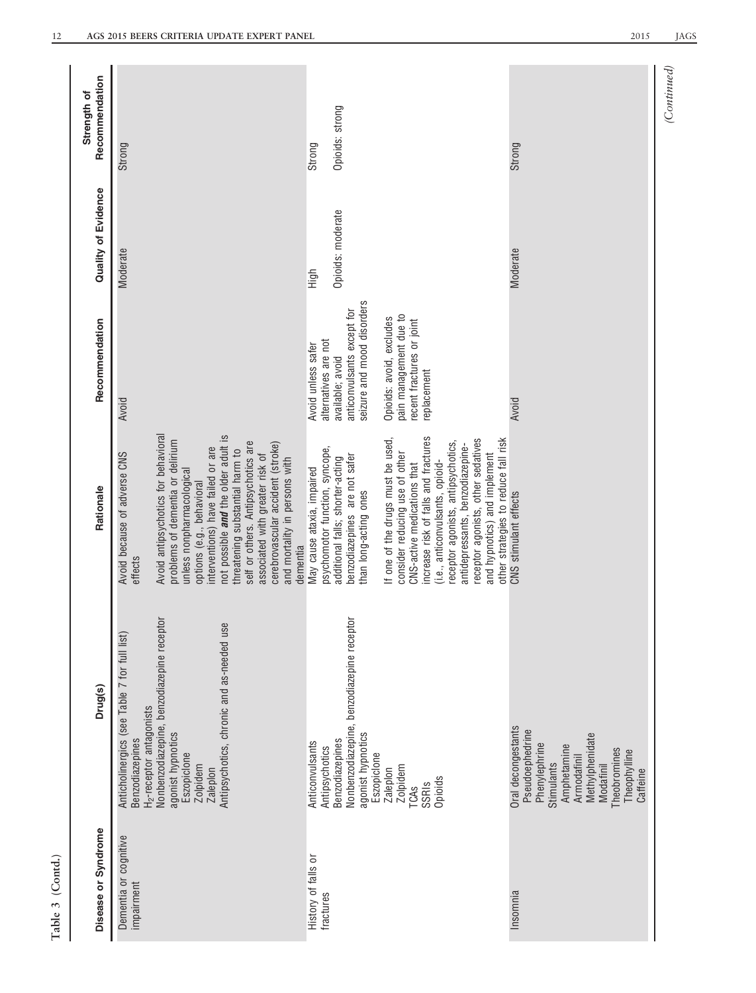| Recommendation<br>Strength of |                                                                                                                |                                                                                                                                                                                                                                                                                                                                                                                                                    |                            | Opioids: strong                                                    |                                                                                       |                                                                                                    |                                                                                                                                                                                                                                                                 |                                                        |                                                 |                              |                                          | (Continued) |
|-------------------------------|----------------------------------------------------------------------------------------------------------------|--------------------------------------------------------------------------------------------------------------------------------------------------------------------------------------------------------------------------------------------------------------------------------------------------------------------------------------------------------------------------------------------------------------------|----------------------------|--------------------------------------------------------------------|---------------------------------------------------------------------------------------|----------------------------------------------------------------------------------------------------|-----------------------------------------------------------------------------------------------------------------------------------------------------------------------------------------------------------------------------------------------------------------|--------------------------------------------------------|-------------------------------------------------|------------------------------|------------------------------------------|-------------|
|                               | Strong                                                                                                         |                                                                                                                                                                                                                                                                                                                                                                                                                    | Strong                     |                                                                    |                                                                                       |                                                                                                    |                                                                                                                                                                                                                                                                 | Strong                                                 |                                                 |                              |                                          |             |
| Quality of Evidence           | Moderate                                                                                                       |                                                                                                                                                                                                                                                                                                                                                                                                                    | High                       | Opioids: moderate                                                  |                                                                                       |                                                                                                    |                                                                                                                                                                                                                                                                 | Moderate                                               |                                                 |                              |                                          |             |
| Recommendation                | Avoid                                                                                                          |                                                                                                                                                                                                                                                                                                                                                                                                                    | Avoid unless safer         | alternatives are not<br>available; avoid                           | seizure and mood disorders<br>anticonvulsants except for                              | pain management due to<br>Opioids: avoid, excludes<br>recent fractures or joint                    | replacement                                                                                                                                                                                                                                                     | Avoid                                                  |                                                 |                              |                                          |             |
| Rationale                     | Avoid because of adverse CNS<br>effects                                                                        | Avoid antipsychotics for behavioral<br>not possible <i>and</i> the older adult is<br>problems of dementia or delirium<br>self or others. Antipsychotics are<br>cerebrovascular accident (stroke)<br>interventions) have failed or are<br>threatening substantial harm to<br>associated with greater risk of<br>and mortality in persons with<br>unless nonpharmacological<br>options (e.g., behavioral<br>dementia | May cause ataxia, impaired | psychomotor function, syncope,<br>additional falls; shorter-acting | benzodiazepines are not safer<br>than long-acting ones                                | If one of the drugs must be used,<br>consider reducing use of other<br>CNS-active medications that | increase risk of falls and fractures<br>receptor agonists, other sedatives<br>other strategies to reduce fall risk<br>receptor agonists, antipsychotics,<br>antidepressants, benzodiazepine-<br>and hypnotics) and implement<br>(i.e., anticonvulsants, opioid- | CNS stimulant effects                                  |                                                 |                              |                                          |             |
| Drug(s)                       | Anticholinergics (see Table 7 for full list)<br>H <sub>2</sub> -receptor antagonists<br><b>Benzodiazepines</b> | Nonbenzodiazepine, benzodiazepine receptor<br>Antipsychotics, chronic and as-needed use<br>agonist hypnotics<br><b>Eszopiclone</b><br>Zolpidem<br>Zaleplon                                                                                                                                                                                                                                                         | Anticonvulsants            | <b>Benzodiazepines</b><br>Antipsychotics                           | Nonbenzodiazepine, benzodiazepine receptor<br>agonist hypnotics<br><b>Eszopiclone</b> | Zolpidem<br>Zaleplon<br><b>TCAS</b>                                                                | Opioids<br><b>SSRIS</b>                                                                                                                                                                                                                                         | Oral decongestants<br>Pseudoephedrine<br>Phenylephrine | Amphetamine<br>Armodafinil<br><b>Stimulants</b> | Methylphenidate<br>Modafinil | Theobromines<br>Theophylline<br>Caffeine |             |
| Disease or Syndrome           | Dementia or cognitive<br>impairment                                                                            |                                                                                                                                                                                                                                                                                                                                                                                                                    | History of falls or        | fractures                                                          |                                                                                       |                                                                                                    |                                                                                                                                                                                                                                                                 | Insomnia                                               |                                                 |                              |                                          |             |

Table 3 (Contd.)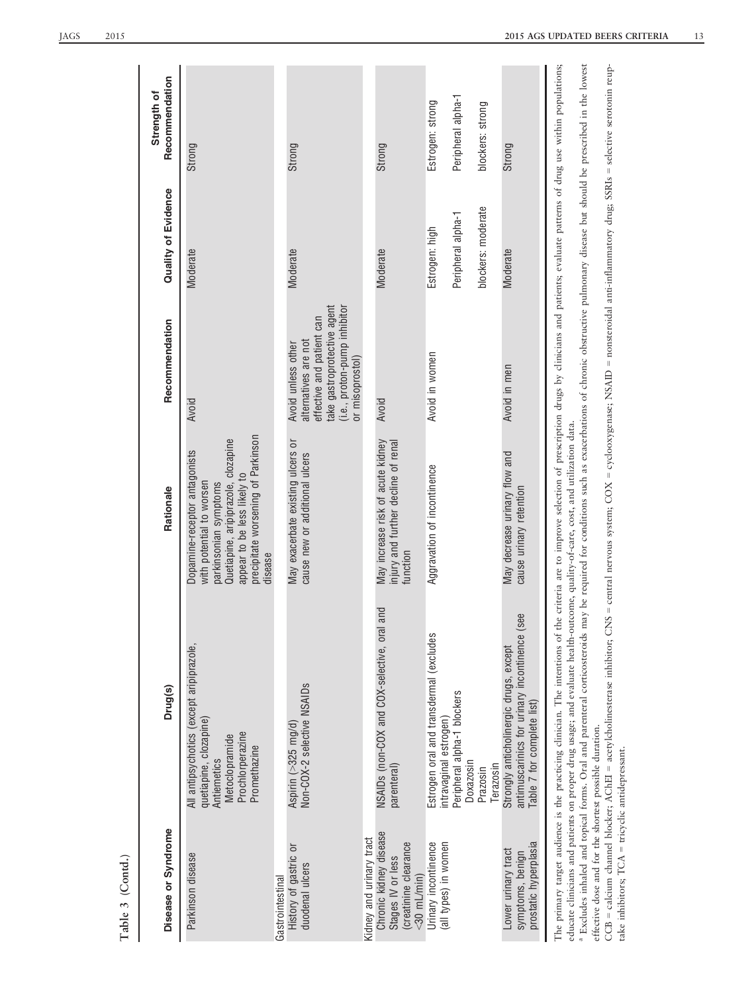| Disease or Syndrome                                                                              | Drug(s)                                                                                                                                                                                                                                                                                                                                                                                                                                                                                                                                                                              | Rationale                                                                                                                                                                                                 | Recommendation                                                                                         | Quality of Evidence                                        | Recommendation<br>Strength of                              |
|--------------------------------------------------------------------------------------------------|--------------------------------------------------------------------------------------------------------------------------------------------------------------------------------------------------------------------------------------------------------------------------------------------------------------------------------------------------------------------------------------------------------------------------------------------------------------------------------------------------------------------------------------------------------------------------------------|-----------------------------------------------------------------------------------------------------------------------------------------------------------------------------------------------------------|--------------------------------------------------------------------------------------------------------|------------------------------------------------------------|------------------------------------------------------------|
| Parkinson disease                                                                                | All antipsychotics (except aripiprazole,<br>quetiapine, clozapine)<br>Prochlorperazine<br>Metoclopramide<br>Promethazine<br><b>Antiemetics</b>                                                                                                                                                                                                                                                                                                                                                                                                                                       | precipitate worsening of Parkinson<br>Quetiapine, aripiprazole, clozapine<br>Dopamine-receptor antagonists<br>appear to be less likely to<br>with potential to worsen<br>parkinsonian symptoms<br>disease | Avoid                                                                                                  | Moderate                                                   | Strong                                                     |
| History of gastric or<br>duodenal ulcers<br>Gastrointestinal                                     | Non-COX-2 selective NSAIDs<br>Aspirin (>325 mg/d)                                                                                                                                                                                                                                                                                                                                                                                                                                                                                                                                    | May exacerbate existing ulcers or<br>cause new or additional ulcers                                                                                                                                       | take gastroprotective agent<br>effective and patient can<br>alternatives are not<br>Avoid unless other | Moderate                                                   | Strong                                                     |
| Chronic kidney disease<br>Kidney and urinary tract<br>(creatinine clearance<br>Stages IV or less | NSAIDs (non-COX and COX-selective, oral and<br>parenteral)                                                                                                                                                                                                                                                                                                                                                                                                                                                                                                                           | May increase risk of acute kidney<br>injury and further decline of renal<br>function                                                                                                                      | (i.e., proton-pump inhibitor<br>or misoprostol)<br>Avoid                                               | <b>Moderate</b>                                            | Strong                                                     |
| Urinary incontinence<br>(all types) in women<br>$<$ 30 mL/min)                                   | Estrogen oral and transdermal (excludes<br>Peripheral alpha-1 blockers<br>intravaginal estrogen<br><b>Doxazosin</b><br>Prazosin                                                                                                                                                                                                                                                                                                                                                                                                                                                      | Aggravation of incontinence                                                                                                                                                                               | Avoid in women                                                                                         | blockers: moderate<br>Peripheral alpha-1<br>Estrogen: high | Peripheral alpha-1<br>Estrogen: strong<br>blockers: strong |
| prostatic hyperplasia<br>Lower urinary tract<br>symptoms, benign                                 | (see<br>antimuscarinics for urinary incontinence<br>Strongly anticholinergic drugs, except<br>Table 7 for complete list)<br>Terazosin                                                                                                                                                                                                                                                                                                                                                                                                                                                | May decrease urinary flow and<br>cause urinary retention                                                                                                                                                  | Avoid in men                                                                                           | Moderate                                                   | Strong                                                     |
|                                                                                                  | <sup>a</sup> Excludes inhaled and topical forms. Oral and parenteral corticosteroids may be required for conditions such as exacerbations of chronic obstructive pulmonary disease but should be prescribed in the lowest<br>The primary target audience is the practicing clinician. The intentions of the criteria are to improve selection of prescription drugs by clinicians and patients; evaluate patterns of drug use within populations;<br>educate clinicians and patients on proper drug usage; and evaluate health-outcome, quality-of-care, cost, and utilization data. |                                                                                                                                                                                                           |                                                                                                        |                                                            |                                                            |

est <sup>a</sup> Excludes inhaled and topical forms. Oral and parenteral corticosteroids may be required for conditions such as exacerbations of chronic obstructive pulmonary disease but should be prescribed in the lowest effective dose and for the shortest possible duration. a

effective dose and for the shortest possible duration.<br>CCB = calcium channel blocker; AChEI = acetylcholinesterase inhibitor; CNS = central nervous system; COX = cyclooxygenase; NSAID = nonsteroidal anti-inflammatory drug; CCB = calcium channel blocker; AChEI = acetylcholinesterase inhibitor; CNS = central nervous system; COX = cyclooxygenase; NSAID = nonsteroidal anti-inflammatory drug; SSRIs = selective serotonin reuptake inhibitors; TCA = tricyclic antidepressant.

Table 3 (Contd.)

Table 3 (Contd.)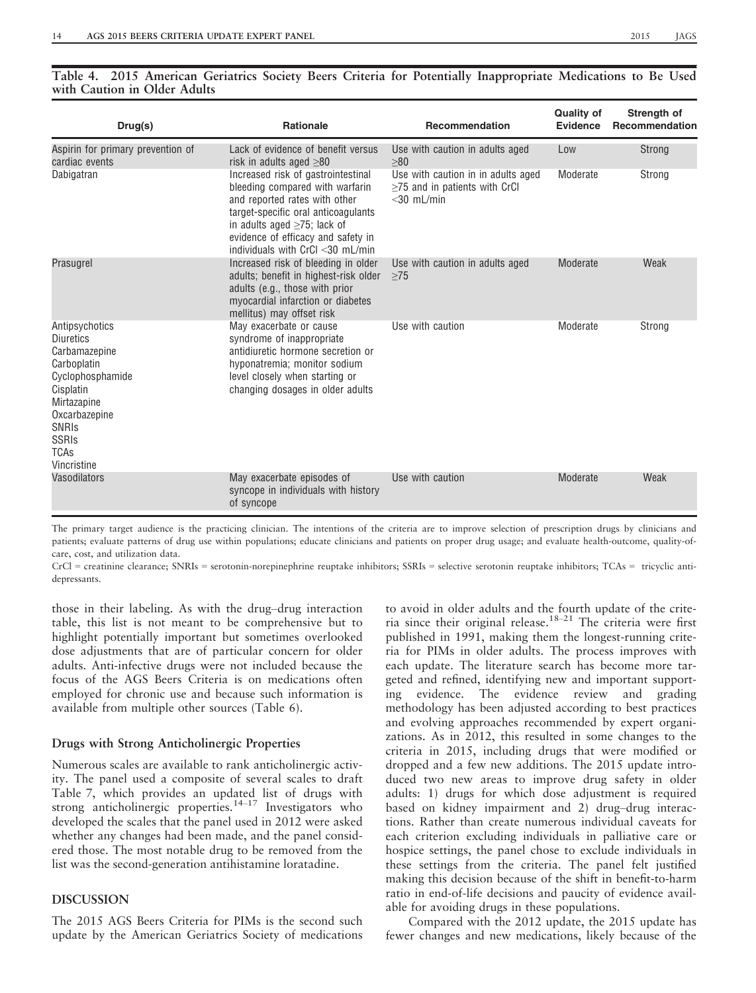| Drug(s)                                                                                                                                                                                           | <b>Rationale</b>                                                                                                                                                                                                                                                | Recommendation                                                                             | <b>Quality of</b><br><b>Evidence</b> | Strength of<br>Recommendation |
|---------------------------------------------------------------------------------------------------------------------------------------------------------------------------------------------------|-----------------------------------------------------------------------------------------------------------------------------------------------------------------------------------------------------------------------------------------------------------------|--------------------------------------------------------------------------------------------|--------------------------------------|-------------------------------|
| Aspirin for primary prevention of<br>cardiac events                                                                                                                                               | Lack of evidence of benefit versus<br>risk in adults aged $\geq 80$                                                                                                                                                                                             | Use with caution in adults aged<br>> 80                                                    | Low                                  | Strona                        |
| Dabigatran                                                                                                                                                                                        | Increased risk of gastrointestinal<br>bleeding compared with warfarin<br>and reported rates with other<br>target-specific oral anticoagulants<br>in adults aged $\geq$ 75; lack of<br>evidence of efficacy and safety in<br>individuals with $CrCl < 30$ mL/min | Use with caution in in adults aged<br>$\geq$ 75 and in patients with CrCl<br>$<$ 30 mL/min | Moderate                             | Strong                        |
| Prasugrel                                                                                                                                                                                         | Increased risk of bleeding in older<br>adults; benefit in highest-risk older<br>adults (e.g., those with prior<br>myocardial infarction or diabetes<br>mellitus) may offset risk                                                                                | Use with caution in adults aged<br>>75                                                     | Moderate                             | Weak                          |
| Antipsychotics<br><b>Diuretics</b><br>Carbamazepine<br>Carboplatin<br>Cyclophosphamide<br>Cisplatin<br>Mirtazapine<br>Oxcarbazepine<br><b>SNRIS</b><br><b>SSRIs</b><br><b>TCAs</b><br>Vincristine | May exacerbate or cause<br>syndrome of inappropriate<br>antidiuretic hormone secretion or<br>hyponatremia; monitor sodium<br>level closely when starting or<br>changing dosages in older adults                                                                 | Use with caution                                                                           | Moderate                             | Strong                        |
| Vasodilators                                                                                                                                                                                      | May exacerbate episodes of<br>syncope in individuals with history<br>of syncope                                                                                                                                                                                 | Use with caution                                                                           | Moderate                             | Weak                          |

## Table 4. 2015 American Geriatrics Society Beers Criteria for Potentially Inappropriate Medications to Be Used with Caution in Older Adults

The primary target audience is the practicing clinician. The intentions of the criteria are to improve selection of prescription drugs by clinicians and patients; evaluate patterns of drug use within populations; educate clinicians and patients on proper drug usage; and evaluate health-outcome, quality-ofcare, cost, and utilization data.

CrCl = creatinine clearance; SNRIs = serotonin-norepinephrine reuptake inhibitors; SSRIs = selective serotonin reuptake inhibitors; TCAs = tricyclic antidepressants.

those in their labeling. As with the drug–drug interaction table, this list is not meant to be comprehensive but to highlight potentially important but sometimes overlooked dose adjustments that are of particular concern for older adults. Anti-infective drugs were not included because the focus of the AGS Beers Criteria is on medications often employed for chronic use and because such information is available from multiple other sources (Table 6).

## Drugs with Strong Anticholinergic Properties

Numerous scales are available to rank anticholinergic activity. The panel used a composite of several scales to draft Table 7, which provides an updated list of drugs with strong anticholinergic properties.<sup>14–17</sup> Investigators who developed the scales that the panel used in 2012 were asked whether any changes had been made, and the panel considered those. The most notable drug to be removed from the list was the second-generation antihistamine loratadine.

## DISCUSSION

The 2015 AGS Beers Criteria for PIMs is the second such update by the American Geriatrics Society of medications

to avoid in older adults and the fourth update of the criteria since their original release.18–<sup>21</sup> The criteria were first published in 1991, making them the longest-running criteria for PIMs in older adults. The process improves with each update. The literature search has become more targeted and refined, identifying new and important supporting evidence. The evidence review and grading methodology has been adjusted according to best practices and evolving approaches recommended by expert organizations. As in 2012, this resulted in some changes to the criteria in 2015, including drugs that were modified or dropped and a few new additions. The 2015 update introduced two new areas to improve drug safety in older adults: 1) drugs for which dose adjustment is required based on kidney impairment and 2) drug–drug interactions. Rather than create numerous individual caveats for each criterion excluding individuals in palliative care or hospice settings, the panel chose to exclude individuals in these settings from the criteria. The panel felt justified making this decision because of the shift in benefit-to-harm ratio in end-of-life decisions and paucity of evidence available for avoiding drugs in these populations.

Compared with the 2012 update, the 2015 update has fewer changes and new medications, likely because of the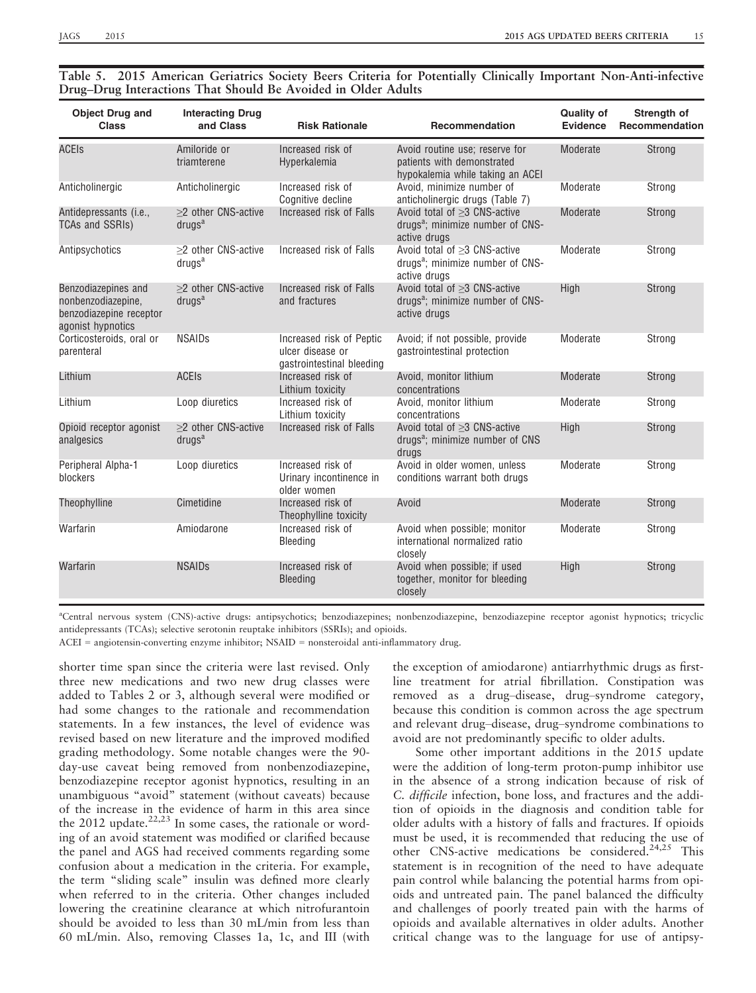# Table 5. 2015 American Geriatrics Society Beers Criteria for Potentially Clinically Important Non-Anti-infective Drug–Drug Interactions That Should Be Avoided in Older Adults

| <b>Object Drug and</b><br><b>Class</b>                                                    | <b>Interacting Drug</b><br>and Class         | <b>Risk Rationale</b>                                                     | Recommendation                                                                                   | <b>Quality of</b><br><b>Evidence</b> | Strength of<br>Recommendation |
|-------------------------------------------------------------------------------------------|----------------------------------------------|---------------------------------------------------------------------------|--------------------------------------------------------------------------------------------------|--------------------------------------|-------------------------------|
| <b>ACEIS</b>                                                                              | Amiloride or<br>triamterene                  | Increased risk of<br>Hyperkalemia                                         | Avoid routine use; reserve for<br>patients with demonstrated<br>hypokalemia while taking an ACEI | Moderate                             | Strong                        |
| Anticholinergic                                                                           | Anticholinergic                              | Increased risk of<br>Cognitive decline                                    | Avoid, minimize number of<br>anticholinergic drugs (Table 7)                                     | Moderate                             | Strong                        |
| Antidepressants (i.e.,<br><b>TCAs and SSRIs)</b>                                          | >2 other CNS-active<br>drugs <sup>a</sup>    | Increased risk of Falls                                                   | Avoid total of >3 CNS-active<br>drugs <sup>a</sup> ; minimize number of CNS-<br>active drugs     | Moderate                             | Strong                        |
| Antipsychotics                                                                            | >2 other CNS-active<br>drugs <sup>a</sup>    | Increased risk of Falls                                                   | Avoid total of >3 CNS-active<br>drugs <sup>a</sup> ; minimize number of CNS-<br>active drugs     | Moderate                             | Strong                        |
| Benzodiazepines and<br>nonbenzodiazepine,<br>benzodiazepine receptor<br>agonist hypnotics | >2 other CNS-active<br>drugs <sup>a</sup>    | Increased risk of Falls<br>and fractures                                  | Avoid total of >3 CNS-active<br>drugs <sup>a</sup> ; minimize number of CNS-<br>active drugs     | High                                 | Strong                        |
| Corticosteroids, oral or<br>parenteral                                                    | <b>NSAIDs</b>                                | Increased risk of Peptic<br>ulcer disease or<br>gastrointestinal bleeding | Avoid; if not possible, provide<br>gastrointestinal protection                                   | Moderate                             | Strong                        |
| Lithium                                                                                   | <b>ACEIS</b>                                 | Increased risk of<br>Lithium toxicity                                     | Avoid, monitor lithium<br>concentrations                                                         | Moderate                             | Strong                        |
| Lithium                                                                                   | Loop diuretics                               | Increased risk of<br>Lithium toxicity                                     | Avoid, monitor lithium<br>concentrations                                                         | Moderate                             | Strong                        |
| Opioid receptor agonist<br>analgesics                                                     | >2 other CNS-active<br>$dru$ gs <sup>a</sup> | Increased risk of Falls                                                   | Avoid total of $\geq$ 3 CNS-active<br>drugs <sup>a</sup> ; minimize number of CNS<br>drugs       | High                                 | Strong                        |
| Peripheral Alpha-1<br>blockers                                                            | Loop diuretics                               | Increased risk of<br>Urinary incontinence in<br>older women               | Avoid in older women, unless<br>conditions warrant both drugs                                    | Moderate                             | Strong                        |
| Theophylline                                                                              | Cimetidine                                   | Increased risk of<br>Theophylline toxicity                                | Avoid                                                                                            | Moderate                             | Strong                        |
| Warfarin                                                                                  | Amiodarone                                   | Increased risk of<br>Bleeding                                             | Avoid when possible; monitor<br>international normalized ratio<br>closely                        | Moderate                             | Strong                        |
| Warfarin                                                                                  | <b>NSAIDs</b>                                | Increased risk of<br>Bleeding                                             | Avoid when possible; if used<br>together, monitor for bleeding<br>closely                        | High                                 | Strong                        |

a Central nervous system (CNS)-active drugs: antipsychotics; benzodiazepines; nonbenzodiazepine, benzodiazepine receptor agonist hypnotics; tricyclic antidepressants (TCAs); selective serotonin reuptake inhibitors (SSRIs); and opioids.

ACEI = angiotensin-converting enzyme inhibitor; NSAID = nonsteroidal anti-inflammatory drug.

shorter time span since the criteria were last revised. Only three new medications and two new drug classes were added to Tables 2 or 3, although several were modified or had some changes to the rationale and recommendation statements. In a few instances, the level of evidence was revised based on new literature and the improved modified grading methodology. Some notable changes were the 90 day-use caveat being removed from nonbenzodiazepine, benzodiazepine receptor agonist hypnotics, resulting in an unambiguous "avoid" statement (without caveats) because of the increase in the evidence of harm in this area since the 2012 update. $22,23$  In some cases, the rationale or wording of an avoid statement was modified or clarified because the panel and AGS had received comments regarding some confusion about a medication in the criteria. For example, the term "sliding scale" insulin was defined more clearly when referred to in the criteria. Other changes included lowering the creatinine clearance at which nitrofurantoin should be avoided to less than 30 mL/min from less than 60 mL/min. Also, removing Classes 1a, 1c, and III (with

the exception of amiodarone) antiarrhythmic drugs as firstline treatment for atrial fibrillation. Constipation was removed as a drug–disease, drug–syndrome category, because this condition is common across the age spectrum and relevant drug–disease, drug–syndrome combinations to avoid are not predominantly specific to older adults.

Some other important additions in the 2015 update were the addition of long-term proton-pump inhibitor use in the absence of a strong indication because of risk of C. difficile infection, bone loss, and fractures and the addition of opioids in the diagnosis and condition table for older adults with a history of falls and fractures. If opioids must be used, it is recommended that reducing the use of other CNS-active medications be considered.24,25 This statement is in recognition of the need to have adequate pain control while balancing the potential harms from opioids and untreated pain. The panel balanced the difficulty and challenges of poorly treated pain with the harms of opioids and available alternatives in older adults. Another critical change was to the language for use of antipsy-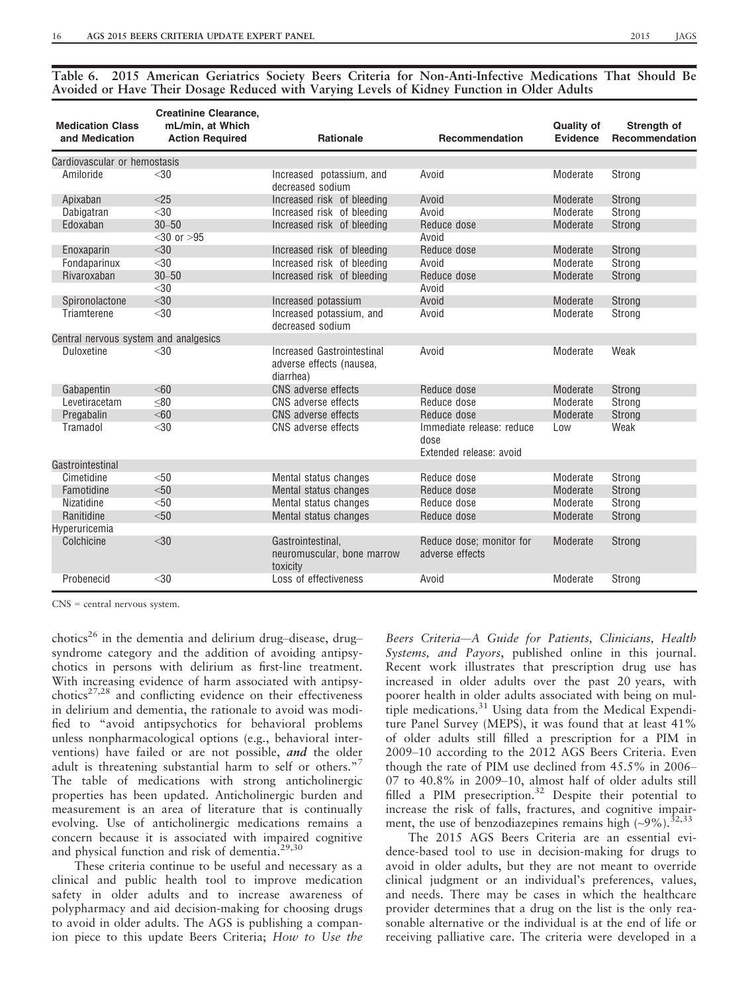|  |  |  |  | Table 6. 2015 American Geriatrics Society Beers Criteria for Non-Anti-Infective Medications That Should Be |  |  |
|--|--|--|--|------------------------------------------------------------------------------------------------------------|--|--|
|  |  |  |  | Avoided or Have Their Dosage Reduced with Varying Levels of Kidney Function in Older Adults                |  |  |

| <b>Medication Class</b><br>and Medication | <b>Creatinine Clearance,</b><br>mL/min, at Which<br><b>Action Required</b> | <b>Rationale</b>                                                           | Recommendation                                               | <b>Quality of</b><br><b>Evidence</b> | Strength of<br>Recommendation |
|-------------------------------------------|----------------------------------------------------------------------------|----------------------------------------------------------------------------|--------------------------------------------------------------|--------------------------------------|-------------------------------|
| Cardiovascular or hemostasis              |                                                                            |                                                                            |                                                              |                                      |                               |
| Amiloride                                 | <30                                                                        | Increased potassium, and<br>decreased sodium                               | Avoid                                                        | Moderate                             | Strong                        |
| Apixaban                                  | < 25                                                                       | Increased risk of bleeding                                                 | Avoid                                                        | Moderate                             | Strong                        |
| Dabigatran                                | $30$                                                                       | Increased risk of bleeding                                                 | Avoid                                                        | Moderate                             | Strong                        |
| Edoxaban                                  | $30 - 50$                                                                  | Increased risk of bleeding                                                 | Reduce dose                                                  | Moderate                             | Strong                        |
|                                           | $<$ 30 or $>$ 95                                                           |                                                                            | Avoid                                                        |                                      |                               |
| Enoxaparin                                | $<$ 30                                                                     | Increased risk of bleeding                                                 | Reduce dose                                                  | Moderate                             | Strong                        |
| Fondaparinux                              | $30$                                                                       | Increased risk of bleeding                                                 | Avoid                                                        | Moderate                             | Strong                        |
| Rivaroxaban                               | $30 - 50$                                                                  | Increased risk of bleeding                                                 | Reduce dose                                                  | Moderate                             | Strong                        |
|                                           | $30$                                                                       |                                                                            | Avoid                                                        |                                      |                               |
| Spironolactone                            | $30$                                                                       | Increased potassium                                                        | Avoid                                                        | Moderate                             | Strong                        |
| Triamterene                               | $30$                                                                       | Increased potassium, and<br>decreased sodium                               | Avoid                                                        | Moderate                             | Strona                        |
| Central nervous system and analgesics     |                                                                            |                                                                            |                                                              |                                      |                               |
| Duloxetine                                | < 30                                                                       | <b>Increased Gastrointestinal</b><br>adverse effects (nausea,<br>diarrhea) | Avoid                                                        | Moderate                             | Weak                          |
| Gabapentin                                | <60                                                                        | CNS adverse effects                                                        | Reduce dose                                                  | Moderate                             | Strong                        |
| Levetiracetam                             | $\leq 80$                                                                  | CNS adverse effects                                                        | Reduce dose                                                  | Moderate                             | Strong                        |
| Pregabalin                                | <60                                                                        | CNS adverse effects                                                        | Reduce dose                                                  | Moderate                             | Strong                        |
| Tramadol                                  | $30$                                                                       | CNS adverse effects                                                        | Immediate release: reduce<br>dose<br>Extended release: avoid | Low                                  | Weak                          |
| Gastrointestinal                          |                                                                            |                                                                            |                                                              |                                      |                               |
| Cimetidine                                | < 50                                                                       | Mental status changes                                                      | Reduce dose                                                  | Moderate                             | Strong                        |
| Famotidine                                | < 50                                                                       | Mental status changes                                                      | Reduce dose                                                  | Moderate                             | Strong                        |
| Nizatidine                                | < 50                                                                       | Mental status changes                                                      | Reduce dose                                                  | Moderate                             | Strong                        |
| Ranitidine                                | < 50                                                                       | Mental status changes                                                      | Reduce dose                                                  | Moderate                             | Strong                        |
| Hyperuricemia                             |                                                                            |                                                                            |                                                              |                                      |                               |
| Colchicine                                | $<$ 30                                                                     | Gastrointestinal,<br>neuromuscular, bone marrow<br>toxicity                | Reduce dose; monitor for<br>adverse effects                  | Moderate                             | Strong                        |
| Probenecid                                | $<$ 30                                                                     | Loss of effectiveness                                                      | Avoid                                                        | Moderate                             | Strong                        |

CNS = central nervous system.

chotics<sup>26</sup> in the dementia and delirium drug–disease, drug– syndrome category and the addition of avoiding antipsychotics in persons with delirium as first-line treatment. With increasing evidence of harm associated with antipsychotics<sup>27,28</sup> and conflicting evidence on their effectiveness in delirium and dementia, the rationale to avoid was modified to "avoid antipsychotics for behavioral problems unless nonpharmacological options (e.g., behavioral interventions) have failed or are not possible, and the older adult is threatening substantial harm to self or others."<sup>7</sup> The table of medications with strong anticholinergic properties has been updated. Anticholinergic burden and measurement is an area of literature that is continually evolving. Use of anticholinergic medications remains a concern because it is associated with impaired cognitive and physical function and risk of dementia.<sup>29,30</sup>

These criteria continue to be useful and necessary as a clinical and public health tool to improve medication safety in older adults and to increase awareness of polypharmacy and aid decision-making for choosing drugs to avoid in older adults. The AGS is publishing a companion piece to this update Beers Criteria; How to Use the

Beers Criteria—A Guide for Patients, Clinicians, Health Systems, and Payors, published online in this journal. Recent work illustrates that prescription drug use has increased in older adults over the past 20 years, with poorer health in older adults associated with being on multiple medications.<sup>31</sup> Using data from the Medical Expenditure Panel Survey (MEPS), it was found that at least 41% of older adults still filled a prescription for a PIM in 2009–10 according to the 2012 AGS Beers Criteria. Even though the rate of PIM use declined from 45.5% in 2006– 07 to 40.8% in 2009–10, almost half of older adults still filled a PIM presecription.<sup>32</sup> Despite their potential to increase the risk of falls, fractures, and cognitive impairment, the use of benzodiazepines remains high  $(\sim 9\%)$ .<sup>32,33</sup>

The 2015 AGS Beers Criteria are an essential evidence-based tool to use in decision-making for drugs to avoid in older adults, but they are not meant to override clinical judgment or an individual's preferences, values, and needs. There may be cases in which the healthcare provider determines that a drug on the list is the only reasonable alternative or the individual is at the end of life or receiving palliative care. The criteria were developed in a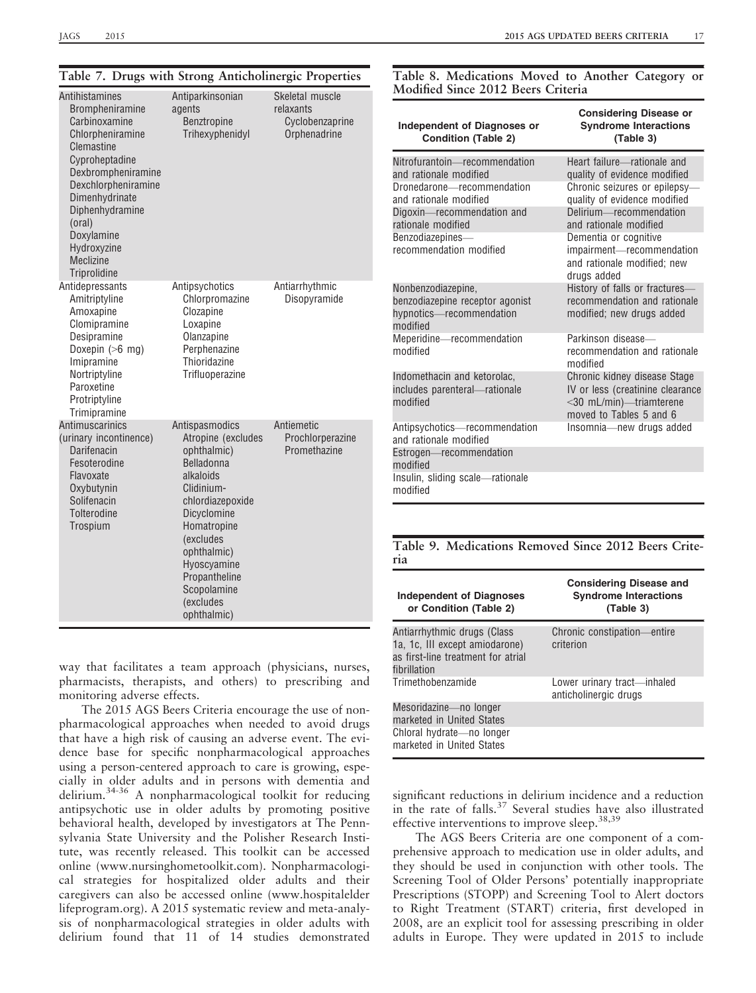| Cyproheptadine<br>Dexbrompheniramine<br>Dexchlorpheniramine<br>Dimenhydrinate<br>Diphenhydramine<br>(oral)<br>Doxylamine<br>Hydroxyzine<br><b>Meclizine</b><br>Triprolidine                                                                                                      |                                                                                                                                                                                                                                                       |                                                                                                                 |
|----------------------------------------------------------------------------------------------------------------------------------------------------------------------------------------------------------------------------------------------------------------------------------|-------------------------------------------------------------------------------------------------------------------------------------------------------------------------------------------------------------------------------------------------------|-----------------------------------------------------------------------------------------------------------------|
| Antidepressants<br>Amitriptyline<br>Amoxapine<br>Clomipramine<br>Desipramine<br>Doxepin (>6 mg)<br>Imipramine<br>Nortriptyline<br>Paroxetine<br>Protriptyline<br>Trimipramine                                                                                                    | Antipsychotics<br>Chlorpromazine<br>Clozapine<br>Loxapine<br>Olanzapine<br>Perphenazine<br>Thioridazine<br>Trifluoperazine                                                                                                                            | Antiarrhythmic<br>Disopyramide                                                                                  |
| Antimuscarinics<br>(urinary incontinence)<br>Darifenacin<br>Fesoterodine<br>Flavoxate<br>Oxybutynin<br>Solifenacin<br>Tolterodine<br>Trospium                                                                                                                                    | Antispasmodics<br>Atropine (excludes<br>ophthalmic)<br>Belladonna<br>alkaloids<br>Clidinium-<br>chlordiazepoxide<br>Dicyclomine<br>Homatropine<br>(excludes<br>ophthalmic)<br>Hyoscyamine<br>Propantheline<br>Scopolamine<br>(excludes<br>ophthalmic) | Antiemetic<br>Prochlorperazine<br>Promethazine                                                                  |
| way that facilitates a team approach (physicians, nurses,<br>pharmacists, therapists, and others) to prescribing<br>monitoring adverse effects.<br>pharmacological approaches when needed to avoid drugs<br>that have a high risk of causing an adverse event. The evi-<br>dence |                                                                                                                                                                                                                                                       | and<br>The 2015 AGS Beers Criteria encourage the use of non-<br>base for specific nonpharmacological approaches |

# Table 7. Drugs with Strong Anticholinergic Properties Antiparkinsonian

Skeletal muscle relaxants

> Cyclobenzaprine Orphenadrine

Benztropine Trihexyphenidyl

agents

Antihistamines Brompheniramine Carbinoxamine Chlorpheniramine Clemastine

dence base for specific nonpharmacological approaches using a person-centered approach to care is growing, especially in older adults and in persons with dementia and delirium.<sup>34.36</sup> A nonpharmacological toolkit for reducing antipsychotic use in older adults by promoting positive behavioral health, developed by investigators at The Pennsylvania State University and the Polisher Research Institute, was recently released. This toolkit can be accessed online ([www.nursinghometoolkit.com\)](http://www.nursinghometoolkit.com). Nonpharmacological strategies for hospitalized older adults and their caregivers can also be accessed online [\(www.hospitalelder](http://www.hospitalelderlifeprogram.org) [lifeprogram.org\)](http://www.hospitalelderlifeprogram.org). A 2015 systematic review and meta-analysis of nonpharmacological strategies in older adults with delirium found that 11 of 14 studies demonstrated

| Independent of Diagnoses or<br><b>Condition (Table 2)</b>                                     | <b>Considering Disease or</b><br><b>Syndrome Interactions</b><br>(Table 3)                                             |
|-----------------------------------------------------------------------------------------------|------------------------------------------------------------------------------------------------------------------------|
| Nitrofurantoin-recommendation<br>and rationale modified                                       | Heart failure—rationale and<br>quality of evidence modified                                                            |
| Dronedarone-recommendation<br>and rationale modified                                          | Chronic seizures or epilepsy-<br>quality of evidence modified                                                          |
| Digoxin-recommendation and<br>rationale modified                                              | Delirium-recommendation<br>and rationale modified                                                                      |
| Benzodiazepines-<br>recommendation modified                                                   | Dementia or cognitive<br>impairment-recommendation<br>and rationale modified; new<br>drugs added                       |
| Nonbenzodiazepine,<br>benzodiazepine receptor agonist<br>hypnotics-recommendation<br>modified | History of falls or fractures-<br>recommendation and rationale<br>modified; new drugs added                            |
| Meperidine-recommendation<br>modified                                                         | Parkinson disease-<br>recommendation and rationale<br>modified                                                         |
| Indomethacin and ketorolac.<br>includes parenteral-rationale<br>modified                      | Chronic kidney disease Stage<br>IV or less (creatinine clearance<br><30 mL/min)-triamterene<br>moved to Tables 5 and 6 |
| Antipsychotics-recommendation<br>and rationale modified                                       | Insomnia-new drugs added                                                                                               |
| Estrogen-recommendation<br>modified                                                           |                                                                                                                        |
| Insulin, sliding scale-rationale<br>modified                                                  |                                                                                                                        |

Table 8. Medications Moved to Another Category or Modified Since 2012 Beers Criteria

Table 9. Medications Removed Since 2012 Beers Criteria

| <b>Independent of Diagnoses</b><br>or Condition (Table 2)                                                           | <b>Considering Disease and</b><br><b>Syndrome Interactions</b><br>(Table 3) |
|---------------------------------------------------------------------------------------------------------------------|-----------------------------------------------------------------------------|
| Antiarrhythmic drugs (Class<br>1a, 1c, III except amiodarone)<br>as first-line treatment for atrial<br>fibrillation | Chronic constipation—entire<br>criterion                                    |
| Trimethobenzamide                                                                                                   | Lower urinary tract—inhaled<br>anticholinergic drugs                        |
| Mesoridazine-no longer<br>marketed in United States<br>Chloral hydrate-no longer<br>marketed in United States       |                                                                             |

significant reductions in delirium incidence and a reduction in the rate of falls.37 Several studies have also illustrated effective interventions to improve sleep.<sup>38,39</sup>

The AGS Beers Criteria are one component of a comprehensive approach to medication use in older adults, and they should be used in conjunction with other tools. The Screening Tool of Older Persons' potentially inappropriate Prescriptions (STOPP) and Screening Tool to Alert doctors to Right Treatment (START) criteria, first developed in 2008, are an explicit tool for assessing prescribing in older adults in Europe. They were updated in 2015 to include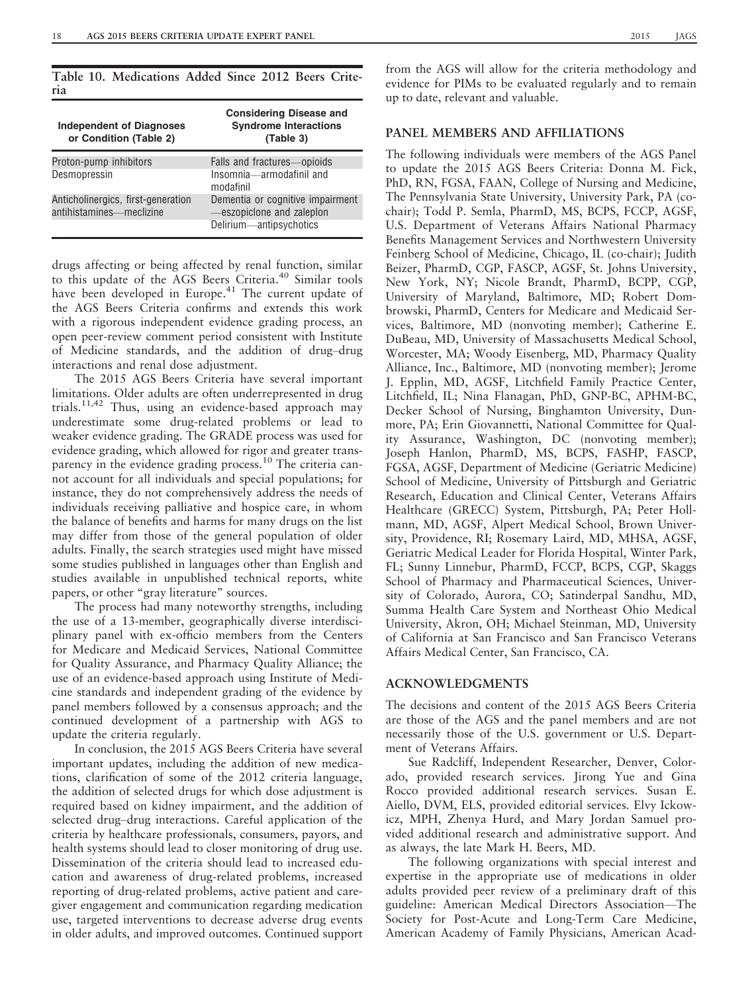Table 10. Medications Added Since 2012 Beers Criteria

| <b>Independent of Diagnoses</b><br>or Condition (Table 2)      | <b>Considering Disease and</b><br><b>Syndrome Interactions</b><br>(Table 3)              |
|----------------------------------------------------------------|------------------------------------------------------------------------------------------|
| Proton-pump inhibitors<br>Desmopressin                         | Falls and fractures-opioids<br>Insomnia-armodafinil and<br>modafinil                     |
| Anticholinergics, first-generation<br>antihistamines-meclizine | Dementia or cognitive impairment<br>-eszopiclone and zaleplon<br>Delirium-antipsychotics |

drugs affecting or being affected by renal function, similar to this update of the AGS Beers Criteria.<sup>40</sup> Similar tools have been developed in Europe.<sup>41</sup> The current update of the AGS Beers Criteria confirms and extends this work with a rigorous independent evidence grading process, an open peer-review comment period consistent with Institute of Medicine standards, and the addition of drug–drug interactions and renal dose adjustment.

The 2015 AGS Beers Criteria have several important limitations. Older adults are often underrepresented in drug trials.11,42 Thus, using an evidence-based approach may underestimate some drug-related problems or lead to weaker evidence grading. The GRADE process was used for evidence grading, which allowed for rigor and greater transparency in the evidence grading process.<sup>10</sup> The criteria cannot account for all individuals and special populations; for instance, they do not comprehensively address the needs of individuals receiving palliative and hospice care, in whom the balance of benefits and harms for many drugs on the list may differ from those of the general population of older adults. Finally, the search strategies used might have missed some studies published in languages other than English and studies available in unpublished technical reports, white papers, or other "gray literature" sources.

The process had many noteworthy strengths, including the use of a 13-member, geographically diverse interdisciplinary panel with ex-officio members from the Centers for Medicare and Medicaid Services, National Committee for Quality Assurance, and Pharmacy Quality Alliance; the use of an evidence-based approach using Institute of Medicine standards and independent grading of the evidence by panel members followed by a consensus approach; and the continued development of a partnership with AGS to update the criteria regularly.

In conclusion, the 2015 AGS Beers Criteria have several important updates, including the addition of new medications, clarification of some of the 2012 criteria language, the addition of selected drugs for which dose adjustment is required based on kidney impairment, and the addition of selected drug–drug interactions. Careful application of the criteria by healthcare professionals, consumers, payors, and health systems should lead to closer monitoring of drug use. Dissemination of the criteria should lead to increased education and awareness of drug-related problems, increased reporting of drug-related problems, active patient and caregiver engagement and communication regarding medication use, targeted interventions to decrease adverse drug events in older adults, and improved outcomes. Continued support

from the AGS will allow for the criteria methodology and evidence for PIMs to be evaluated regularly and to remain up to date, relevant and valuable.

## PANEL MEMBERS AND AFFILIATIONS

The following individuals were members of the AGS Panel to update the 2015 AGS Beers Criteria: Donna M. Fick, PhD, RN, FGSA, FAAN, College of Nursing and Medicine, The Pennsylvania State University, University Park, PA (cochair); Todd P. Semla, PharmD, MS, BCPS, FCCP, AGSF, U.S. Department of Veterans Affairs National Pharmacy Benefits Management Services and Northwestern University Feinberg School of Medicine, Chicago, IL (co-chair); Judith Beizer, PharmD, CGP, FASCP, AGSF, St. Johns University, New York, NY; Nicole Brandt, PharmD, BCPP, CGP, University of Maryland, Baltimore, MD; Robert Dombrowski, PharmD, Centers for Medicare and Medicaid Services, Baltimore, MD (nonvoting member); Catherine E. DuBeau, MD, University of Massachusetts Medical School, Worcester, MA; Woody Eisenberg, MD, Pharmacy Quality Alliance, Inc., Baltimore, MD (nonvoting member); Jerome J. Epplin, MD, AGSF, Litchfield Family Practice Center, Litchfield, IL; Nina Flanagan, PhD, GNP-BC, APHM-BC, Decker School of Nursing, Binghamton University, Dunmore, PA; Erin Giovannetti, National Committee for Quality Assurance, Washington, DC (nonvoting member); Joseph Hanlon, PharmD, MS, BCPS, FASHP, FASCP, FGSA, AGSF, Department of Medicine (Geriatric Medicine) School of Medicine, University of Pittsburgh and Geriatric Research, Education and Clinical Center, Veterans Affairs Healthcare (GRECC) System, Pittsburgh, PA; Peter Hollmann, MD, AGSF, Alpert Medical School, Brown University, Providence, RI; Rosemary Laird, MD, MHSA, AGSF, Geriatric Medical Leader for Florida Hospital, Winter Park, FL; Sunny Linnebur, PharmD, FCCP, BCPS, CGP, Skaggs School of Pharmacy and Pharmaceutical Sciences, University of Colorado, Aurora, CO; Satinderpal Sandhu, MD, Summa Health Care System and Northeast Ohio Medical University, Akron, OH; Michael Steinman, MD, University of California at San Francisco and San Francisco Veterans Affairs Medical Center, San Francisco, CA.

#### ACKNOWLEDGMENTS

The decisions and content of the 2015 AGS Beers Criteria are those of the AGS and the panel members and are not necessarily those of the U.S. government or U.S. Department of Veterans Affairs.

Sue Radcliff, Independent Researcher, Denver, Colorado, provided research services. Jirong Yue and Gina Rocco provided additional research services. Susan E. Aiello, DVM, ELS, provided editorial services. Elvy Ickowicz, MPH, Zhenya Hurd, and Mary Jordan Samuel provided additional research and administrative support. And as always, the late Mark H. Beers, MD.

The following organizations with special interest and expertise in the appropriate use of medications in older adults provided peer review of a preliminary draft of this guideline: American Medical Directors Association—The Society for Post-Acute and Long-Term Care Medicine, American Academy of Family Physicians, American Acad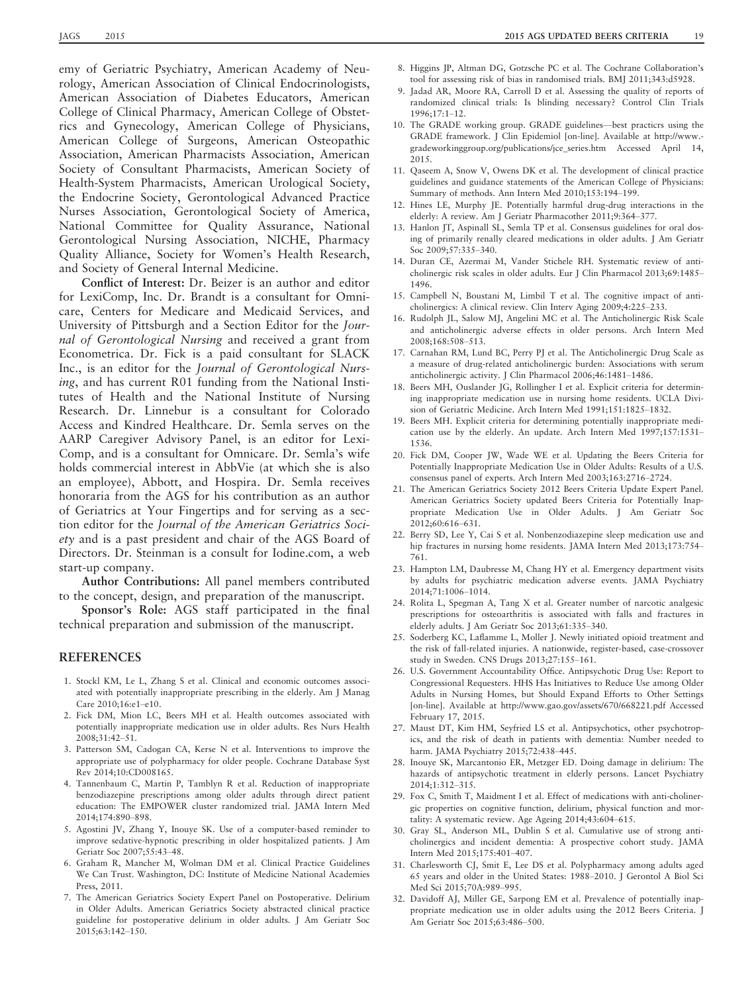emy of Geriatric Psychiatry, American Academy of Neurology, American Association of Clinical Endocrinologists, American Association of Diabetes Educators, American College of Clinical Pharmacy, American College of Obstetrics and Gynecology, American College of Physicians, American College of Surgeons, American Osteopathic Association, American Pharmacists Association, American Society of Consultant Pharmacists, American Society of Health-System Pharmacists, American Urological Society, the Endocrine Society, Gerontological Advanced Practice Nurses Association, Gerontological Society of America, National Committee for Quality Assurance, National Gerontological Nursing Association, NICHE, Pharmacy Quality Alliance, Society for Women's Health Research, and Society of General Internal Medicine.

Conflict of Interest: Dr. Beizer is an author and editor for LexiComp, Inc. Dr. Brandt is a consultant for Omnicare, Centers for Medicare and Medicaid Services, and University of Pittsburgh and a Section Editor for the Journal of Gerontological Nursing and received a grant from Econometrica. Dr. Fick is a paid consultant for SLACK Inc., is an editor for the Journal of Gerontological Nursing, and has current R01 funding from the National Institutes of Health and the National Institute of Nursing Research. Dr. Linnebur is a consultant for Colorado Access and Kindred Healthcare. Dr. Semla serves on the AARP Caregiver Advisory Panel, is an editor for Lexi-Comp, and is a consultant for Omnicare. Dr. Semla's wife holds commercial interest in AbbVie (at which she is also an employee), Abbott, and Hospira. Dr. Semla receives honoraria from the AGS for his contribution as an author of Geriatrics at Your Fingertips and for serving as a section editor for the Journal of the American Geriatrics Society and is a past president and chair of the AGS Board of Directors. Dr. Steinman is a consult for Iodine.com, a web start-up company.

Author Contributions: All panel members contributed to the concept, design, and preparation of the manuscript.

Sponsor's Role: AGS staff participated in the final technical preparation and submission of the manuscript.

#### REFERENCES

- 1. Stockl KM, Le L, Zhang S et al. Clinical and economic outcomes associated with potentially inappropriate prescribing in the elderly. Am J Manag Care 2010;16:e1–e10.
- 2. Fick DM, Mion LC, Beers MH et al. Health outcomes associated with potentially inappropriate medication use in older adults. Res Nurs Health 2008;31:42–51.
- 3. Patterson SM, Cadogan CA, Kerse N et al. Interventions to improve the appropriate use of polypharmacy for older people. Cochrane Database Syst Rev 2014;10:CD008165.
- 4. Tannenbaum C, Martin P, Tamblyn R et al. Reduction of inappropriate benzodiazepine prescriptions among older adults through direct patient education: The EMPOWER cluster randomized trial. JAMA Intern Med 2014;174:890–898.
- 5. Agostini JV, Zhang Y, Inouye SK. Use of a computer-based reminder to improve sedative-hypnotic prescribing in older hospitalized patients. J Am Geriatr Soc 2007;55:43–48.
- 6. Graham R, Mancher M, Wolman DM et al. Clinical Practice Guidelines We Can Trust. Washington, DC: Institute of Medicine National Academies Press, 2011.
- 7. The American Geriatrics Society Expert Panel on Postoperative. Delirium in Older Adults. American Geriatrics Society abstracted clinical practice guideline for postoperative delirium in older adults. J Am Geriatr Soc 2015;63:142–150.
- 8. Higgins JP, Altman DG, Gotzsche PC et al. The Cochrane Collaboration's tool for assessing risk of bias in randomised trials. BMJ 2011;343:d5928.
- 9. Jadad AR, Moore RA, Carroll D et al. Assessing the quality of reports of randomized clinical trials: Is blinding necessary? Control Clin Trials 1996;17:1–12.
- 10. The GRADE working group. GRADE guidelines—best practicrs using the GRADE framework. J Clin Epidemiol [on-line]. Available at [http://www.](http://www.gradeworkinggroup.org/publications/jce_series.htm) [gradeworkinggroup.org/publications/jce\\_series.htm](http://www.gradeworkinggroup.org/publications/jce_series.htm) Accessed April 14, 2015.
- 11. Qaseem A, Snow V, Owens DK et al. The development of clinical practice guidelines and guidance statements of the American College of Physicians: Summary of methods. Ann Intern Med 2010;153:194–199.
- 12. Hines LE, Murphy JE. Potentially harmful drug-drug interactions in the elderly: A review. Am J Geriatr Pharmacother 2011;9:364–377.
- 13. Hanlon JT, Aspinall SL, Semla TP et al. Consensus guidelines for oral dosing of primarily renally cleared medications in older adults. J Am Geriatr Soc 2009;57:335–340.
- 14. Duran CE, Azermai M, Vander Stichele RH. Systematic review of anticholinergic risk scales in older adults. Eur J Clin Pharmacol 2013;69:1485– 1496.
- 15. Campbell N, Boustani M, Limbil T et al. The cognitive impact of anticholinergics: A clinical review. Clin Interv Aging 2009;4:225–233.
- 16. Rudolph JL, Salow MJ, Angelini MC et al. The Anticholinergic Risk Scale and anticholinergic adverse effects in older persons. Arch Intern Med 2008;168:508–513.
- 17. Carnahan RM, Lund BC, Perry PJ et al. The Anticholinergic Drug Scale as a measure of drug-related anticholinergic burden: Associations with serum anticholinergic activity. J Clin Pharmacol 2006;46:1481–1486.
- 18. Beers MH, Ouslander JG, Rollingher I et al. Explicit criteria for determining inappropriate medication use in nursing home residents. UCLA Division of Geriatric Medicine. Arch Intern Med 1991;151:1825–1832.
- 19. Beers MH. Explicit criteria for determining potentially inappropriate medication use by the elderly. An update. Arch Intern Med 1997;157:1531– 1536.
- 20. Fick DM, Cooper JW, Wade WE et al. Updating the Beers Criteria for Potentially Inappropriate Medication Use in Older Adults: Results of a U.S. consensus panel of experts. Arch Intern Med 2003;163:2716–2724.
- 21. The American Geriatrics Society 2012 Beers Criteria Update Expert Panel. American Geriatrics Society updated Beers Criteria for Potentially Inappropriate Medication Use in Older Adults. J Am Geriatr Soc 2012;60:616–631.
- 22. Berry SD, Lee Y, Cai S et al. Nonbenzodiazepine sleep medication use and hip fractures in nursing home residents. JAMA Intern Med 2013;173:754– 761.
- 23. Hampton LM, Daubresse M, Chang HY et al. Emergency department visits by adults for psychiatric medication adverse events. JAMA Psychiatry 2014;71:1006–1014.
- 24. Rolita L, Spegman A, Tang X et al. Greater number of narcotic analgesic prescriptions for osteoarthritis is associated with falls and fractures in elderly adults. J Am Geriatr Soc 2013;61:335–340.
- 25. Soderberg KC, Laflamme L, Moller J. Newly initiated opioid treatment and the risk of fall-related injuries. A nationwide, register-based, case-crossover study in Sweden. CNS Drugs 2013;27:155–161.
- 26. U.S. Government Accountability Office. Antipsychotic Drug Use: Report to Congressional Requesters. HHS Has Initiatives to Reduce Use among Older Adults in Nursing Homes, but Should Expand Efforts to Other Settings [on-line]. Available at<http://www.gao.gov/assets/670/668221.pdf> Accessed February 17, 2015.
- 27. Maust DT, Kim HM, Seyfried LS et al. Antipsychotics, other psychotropics, and the risk of death in patients with dementia: Number needed to harm. JAMA Psychiatry 2015;72:438–445.
- 28. Inouye SK, Marcantonio ER, Metzger ED. Doing damage in delirium: The hazards of antipsychotic treatment in elderly persons. Lancet Psychiatry 2014;1:312–315.
- 29. Fox C, Smith T, Maidment I et al. Effect of medications with anti-cholinergic properties on cognitive function, delirium, physical function and mortality: A systematic review. Age Ageing 2014;43:604–615.
- 30. Gray SL, Anderson ML, Dublin S et al. Cumulative use of strong anticholinergics and incident dementia: A prospective cohort study. JAMA Intern Med 2015;175:401–407.
- 31. Charlesworth CJ, Smit E, Lee DS et al. Polypharmacy among adults aged 65 years and older in the United States: 1988–2010. J Gerontol A Biol Sci Med Sci 2015;70A:989–995.
- 32. Davidoff AJ, Miller GE, Sarpong EM et al. Prevalence of potentially inappropriate medication use in older adults using the 2012 Beers Criteria. J Am Geriatr Soc 2015;63:486–500.